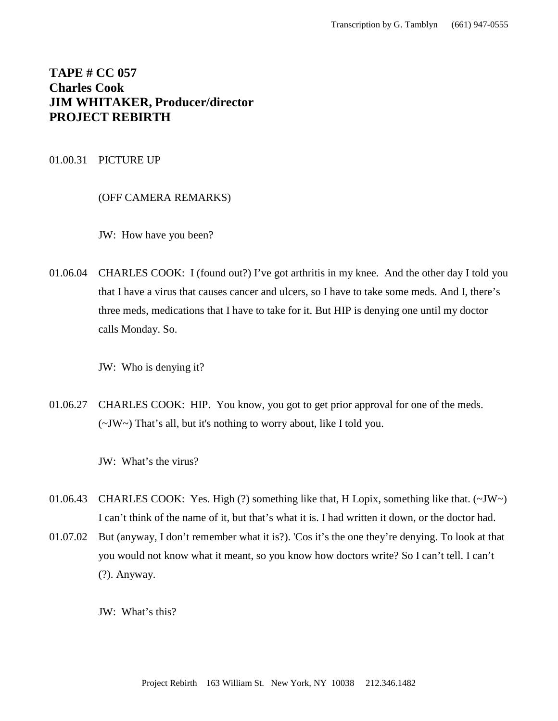# **TAPE # CC 057 Charles Cook JIM WHITAKER, Producer/director PROJECT REBIRTH**

## 01.00.31 PICTURE UP

(OFF CAMERA REMARKS)

JW: How have you been?

01.06.04 CHARLES COOK: I (found out?) I've got arthritis in my knee. And the other day I told you that I have a virus that causes cancer and ulcers, so I have to take some meds. And I, there's three meds, medications that I have to take for it. But HIP is denying one until my doctor calls Monday. So.

JW: Who is denying it?

01.06.27 CHARLES COOK: HIP. You know, you got to get prior approval for one of the meds. (~JW~) That's all, but it's nothing to worry about, like I told you.

JW: What's the virus?

- 01.06.43 CHARLES COOK: Yes. High (?) something like that, H Lopix, something like that. (~JW~) I can't think of the name of it, but that's what it is. I had written it down, or the doctor had.
- 01.07.02 But (anyway, I don't remember what it is?). 'Cos it's the one they're denying. To look at that you would not know what it meant, so you know how doctors write? So I can't tell. I can't (?). Anyway.

JW: What's this?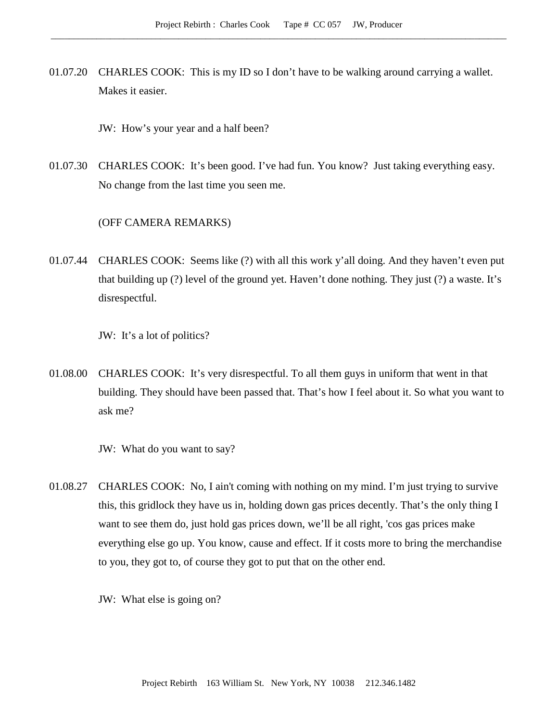- 01.07.20 CHARLES COOK: This is my ID so I don't have to be walking around carrying a wallet. Makes it easier.
	- JW: How's your year and a half been?
- 01.07.30 CHARLES COOK: It's been good. I've had fun. You know? Just taking everything easy. No change from the last time you seen me.

# (OFF CAMERA REMARKS)

01.07.44 CHARLES COOK: Seems like (?) with all this work y'all doing. And they haven't even put that building up (?) level of the ground yet. Haven't done nothing. They just (?) a waste. It's disrespectful.

JW: It's a lot of politics?

01.08.00 CHARLES COOK: It's very disrespectful. To all them guys in uniform that went in that building. They should have been passed that. That's how I feel about it. So what you want to ask me?

JW: What do you want to say?

01.08.27 CHARLES COOK: No, I ain't coming with nothing on my mind. I'm just trying to survive this, this gridlock they have us in, holding down gas prices decently. That's the only thing I want to see them do, just hold gas prices down, we'll be all right, 'cos gas prices make everything else go up. You know, cause and effect. If it costs more to bring the merchandise to you, they got to, of course they got to put that on the other end.

JW: What else is going on?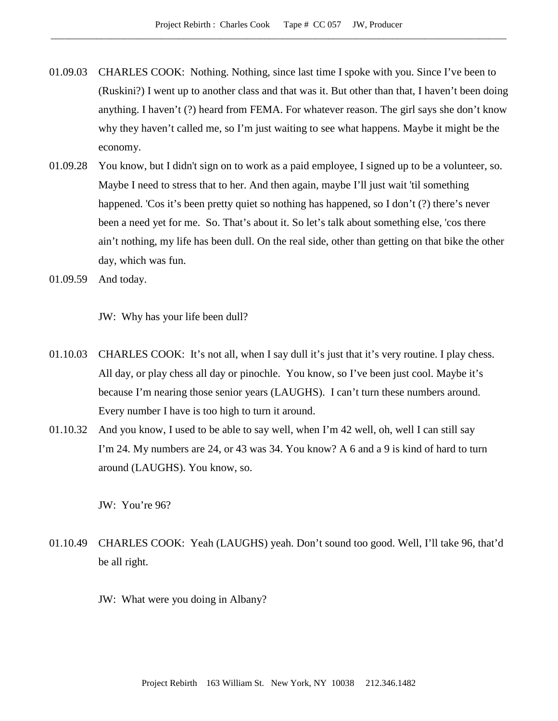- 01.09.03 CHARLES COOK: Nothing. Nothing, since last time I spoke with you. Since I've been to (Ruskini?) I went up to another class and that was it. But other than that, I haven't been doing anything. I haven't (?) heard from FEMA. For whatever reason. The girl says she don't know why they haven't called me, so I'm just waiting to see what happens. Maybe it might be the economy.
- 01.09.28 You know, but I didn't sign on to work as a paid employee, I signed up to be a volunteer, so. Maybe I need to stress that to her. And then again, maybe I'll just wait 'til something happened. 'Cos it's been pretty quiet so nothing has happened, so I don't (?) there's never been a need yet for me. So. That's about it. So let's talk about something else, 'cos there ain't nothing, my life has been dull. On the real side, other than getting on that bike the other day, which was fun.
- 01.09.59 And today.

JW: Why has your life been dull?

- 01.10.03 CHARLES COOK: It's not all, when I say dull it's just that it's very routine. I play chess. All day, or play chess all day or pinochle. You know, so I've been just cool. Maybe it's because I'm nearing those senior years (LAUGHS). I can't turn these numbers around. Every number I have is too high to turn it around.
- 01.10.32 And you know, I used to be able to say well, when I'm 42 well, oh, well I can still say I'm 24. My numbers are 24, or 43 was 34. You know? A 6 and a 9 is kind of hard to turn around (LAUGHS). You know, so.

JW: You're 96?

- 01.10.49 CHARLES COOK: Yeah (LAUGHS) yeah. Don't sound too good. Well, I'll take 96, that'd be all right.
	- JW: What were you doing in Albany?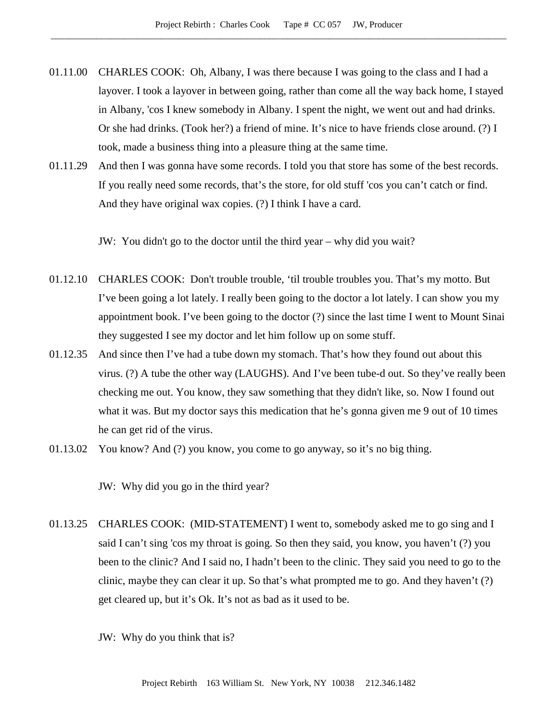- 01.11.00 CHARLES COOK: Oh, Albany, I was there because I was going to the class and I had a layover. I took a layover in between going, rather than come all the way back home, I stayed in Albany, 'cos I knew somebody in Albany. I spent the night, we went out and had drinks. Or she had drinks. (Took her?) a friend of mine. It's nice to have friends close around. (?) I took, made a business thing into a pleasure thing at the same time.
- 01.11.29 And then I was gonna have some records. I told you that store has some of the best records. If you really need some records, that's the store, for old stuff 'cos you can't catch or find. And they have original wax copies. (?) I think I have a card.

JW: You didn't go to the doctor until the third year – why did you wait?

- 01.12.10 CHARLES COOK: Don't trouble trouble, 'til trouble troubles you. That's my motto. But I've been going a lot lately. I really been going to the doctor a lot lately. I can show you my appointment book. I've been going to the doctor (?) since the last time I went to Mount Sinai they suggested I see my doctor and let him follow up on some stuff.
- 01.12.35 And since then I've had a tube down my stomach. That's how they found out about this virus. (?) A tube the other way (LAUGHS). And I've been tube-d out. So they've really been checking me out. You know, they saw something that they didn't like, so. Now I found out what it was. But my doctor says this medication that he's gonna given me 9 out of 10 times he can get rid of the virus.
- 01.13.02 You know? And (?) you know, you come to go anyway, so it's no big thing.

JW: Why did you go in the third year?

01.13.25 CHARLES COOK: (MID-STATEMENT) I went to, somebody asked me to go sing and I said I can't sing 'cos my throat is going. So then they said, you know, you haven't (?) you been to the clinic? And I said no, I hadn't been to the clinic. They said you need to go to the clinic, maybe they can clear it up. So that's what prompted me to go. And they haven't (?) get cleared up, but it's Ok. It's not as bad as it used to be.

JW: Why do you think that is?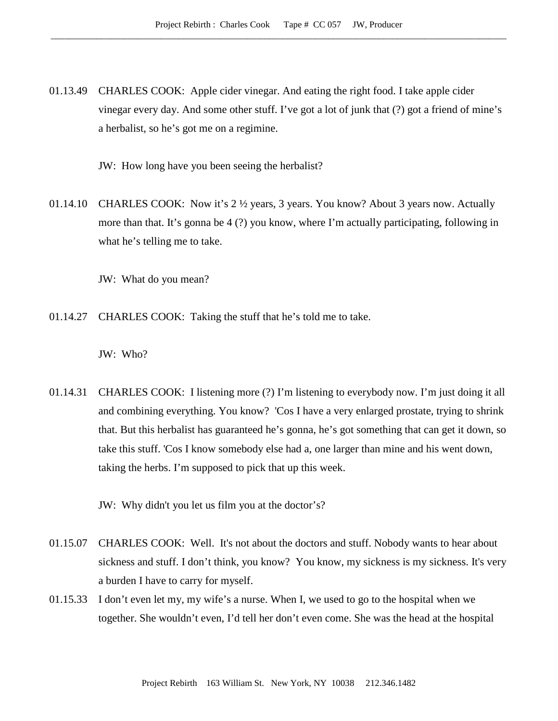01.13.49 CHARLES COOK: Apple cider vinegar. And eating the right food. I take apple cider vinegar every day. And some other stuff. I've got a lot of junk that (?) got a friend of mine's a herbalist, so he's got me on a regimine.

JW: How long have you been seeing the herbalist?

01.14.10 CHARLES COOK: Now it's 2 ½ years, 3 years. You know? About 3 years now. Actually more than that. It's gonna be 4 (?) you know, where I'm actually participating, following in what he's telling me to take.

JW: What do you mean?

01.14.27 CHARLES COOK: Taking the stuff that he's told me to take.

JW: Who?

01.14.31 CHARLES COOK: I listening more (?) I'm listening to everybody now. I'm just doing it all and combining everything. You know? 'Cos I have a very enlarged prostate, trying to shrink that. But this herbalist has guaranteed he's gonna, he's got something that can get it down, so take this stuff. 'Cos I know somebody else had a, one larger than mine and his went down, taking the herbs. I'm supposed to pick that up this week.

JW: Why didn't you let us film you at the doctor's?

- 01.15.07 CHARLES COOK: Well. It's not about the doctors and stuff. Nobody wants to hear about sickness and stuff. I don't think, you know? You know, my sickness is my sickness. It's very a burden I have to carry for myself.
- 01.15.33 I don't even let my, my wife's a nurse. When I, we used to go to the hospital when we together. She wouldn't even, I'd tell her don't even come. She was the head at the hospital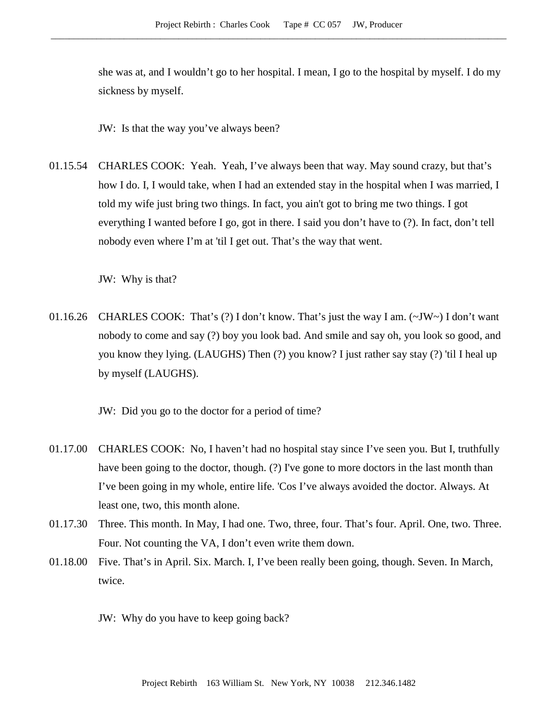she was at, and I wouldn't go to her hospital. I mean, I go to the hospital by myself. I do my sickness by myself.

JW: Is that the way you've always been?

01.15.54 CHARLES COOK: Yeah. Yeah, I've always been that way. May sound crazy, but that's how I do. I, I would take, when I had an extended stay in the hospital when I was married, I told my wife just bring two things. In fact, you ain't got to bring me two things. I got everything I wanted before I go, got in there. I said you don't have to (?). In fact, don't tell nobody even where I'm at 'til I get out. That's the way that went.

JW: Why is that?

01.16.26 CHARLES COOK: That's (?) I don't know. That's just the way I am. (~JW~) I don't want nobody to come and say (?) boy you look bad. And smile and say oh, you look so good, and you know they lying. (LAUGHS) Then (?) you know? I just rather say stay (?) 'til I heal up by myself (LAUGHS).

JW: Did you go to the doctor for a period of time?

- 01.17.00 CHARLES COOK: No, I haven't had no hospital stay since I've seen you. But I, truthfully have been going to the doctor, though. (?) I've gone to more doctors in the last month than I've been going in my whole, entire life. 'Cos I've always avoided the doctor. Always. At least one, two, this month alone.
- 01.17.30 Three. This month. In May, I had one. Two, three, four. That's four. April. One, two. Three. Four. Not counting the VA, I don't even write them down.
- 01.18.00 Five. That's in April. Six. March. I, I've been really been going, though. Seven. In March, twice.

JW: Why do you have to keep going back?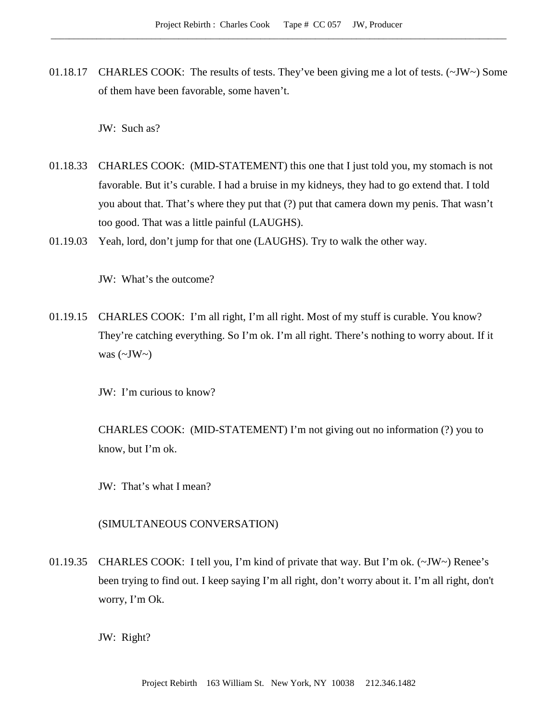01.18.17 CHARLES COOK: The results of tests. They've been giving me a lot of tests. (~JW~) Some of them have been favorable, some haven't.

JW: Such as?

- 01.18.33 CHARLES COOK: (MID-STATEMENT) this one that I just told you, my stomach is not favorable. But it's curable. I had a bruise in my kidneys, they had to go extend that. I told you about that. That's where they put that (?) put that camera down my penis. That wasn't too good. That was a little painful (LAUGHS).
- 01.19.03 Yeah, lord, don't jump for that one (LAUGHS). Try to walk the other way.

JW: What's the outcome?

01.19.15 CHARLES COOK: I'm all right, I'm all right. Most of my stuff is curable. You know? They're catching everything. So I'm ok. I'm all right. There's nothing to worry about. If it was  $(\sim JW \sim)$ 

JW: I'm curious to know?

CHARLES COOK: (MID-STATEMENT) I'm not giving out no information (?) you to know, but I'm ok.

JW: That's what I mean?

### (SIMULTANEOUS CONVERSATION)

01.19.35 CHARLES COOK: I tell you, I'm kind of private that way. But I'm ok. (~JW~) Renee's been trying to find out. I keep saying I'm all right, don't worry about it. I'm all right, don't worry, I'm Ok.

JW: Right?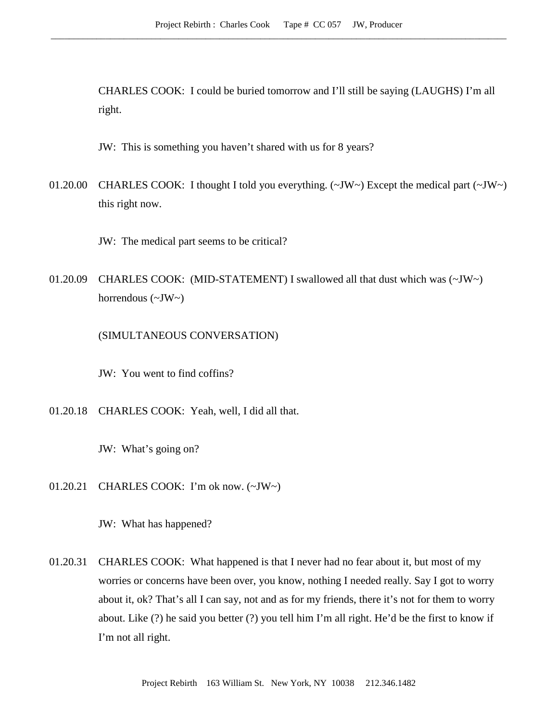CHARLES COOK: I could be buried tomorrow and I'll still be saying (LAUGHS) I'm all right.

JW: This is something you haven't shared with us for 8 years?

01.20.00 CHARLES COOK: I thought I told you everything.  $(\sim JW)$  Except the medical part  $(\sim JW)$ this right now.

JW: The medical part seems to be critical?

01.20.09 CHARLES COOK: (MID-STATEMENT) I swallowed all that dust which was (~JW~) horrendous  $(\sim JW \sim)$ 

(SIMULTANEOUS CONVERSATION)

JW: You went to find coffins?

01.20.18 CHARLES COOK: Yeah, well, I did all that.

JW: What's going on?

01.20.21 CHARLES COOK: I'm ok now. (~JW~)

JW: What has happened?

01.20.31 CHARLES COOK: What happened is that I never had no fear about it, but most of my worries or concerns have been over, you know, nothing I needed really. Say I got to worry about it, ok? That's all I can say, not and as for my friends, there it's not for them to worry about. Like (?) he said you better (?) you tell him I'm all right. He'd be the first to know if I'm not all right.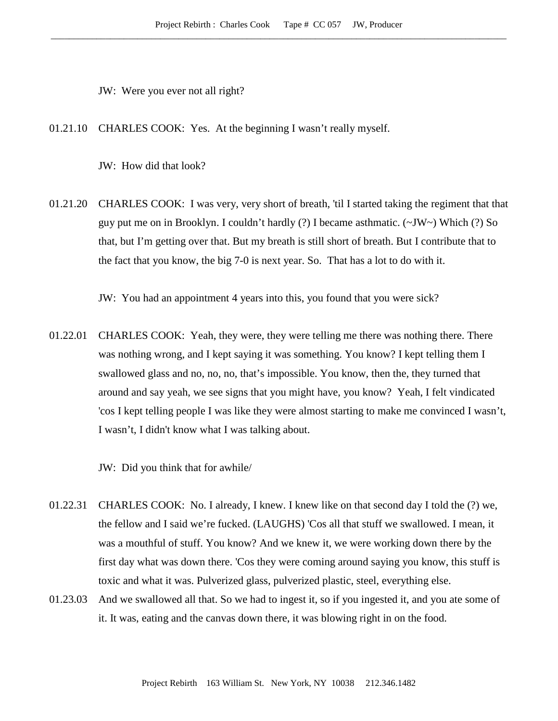JW: Were you ever not all right?

01.21.10 CHARLES COOK: Yes. At the beginning I wasn't really myself.

JW: How did that look?

01.21.20 CHARLES COOK: I was very, very short of breath, 'til I started taking the regiment that that guy put me on in Brooklyn. I couldn't hardly (?) I became asthmatic.  $(\sim JW \sim)$  Which (?) So that, but I'm getting over that. But my breath is still short of breath. But I contribute that to the fact that you know, the big 7-0 is next year. So. That has a lot to do with it.

JW: You had an appointment 4 years into this, you found that you were sick?

01.22.01 CHARLES COOK: Yeah, they were, they were telling me there was nothing there. There was nothing wrong, and I kept saying it was something. You know? I kept telling them I swallowed glass and no, no, no, that's impossible. You know, then the, they turned that around and say yeah, we see signs that you might have, you know? Yeah, I felt vindicated 'cos I kept telling people I was like they were almost starting to make me convinced I wasn't, I wasn't, I didn't know what I was talking about.

JW: Did you think that for awhile/

- 01.22.31 CHARLES COOK: No. I already, I knew. I knew like on that second day I told the (?) we, the fellow and I said we're fucked. (LAUGHS) 'Cos all that stuff we swallowed. I mean, it was a mouthful of stuff. You know? And we knew it, we were working down there by the first day what was down there. 'Cos they were coming around saying you know, this stuff is toxic and what it was. Pulverized glass, pulverized plastic, steel, everything else.
- 01.23.03 And we swallowed all that. So we had to ingest it, so if you ingested it, and you ate some of it. It was, eating and the canvas down there, it was blowing right in on the food.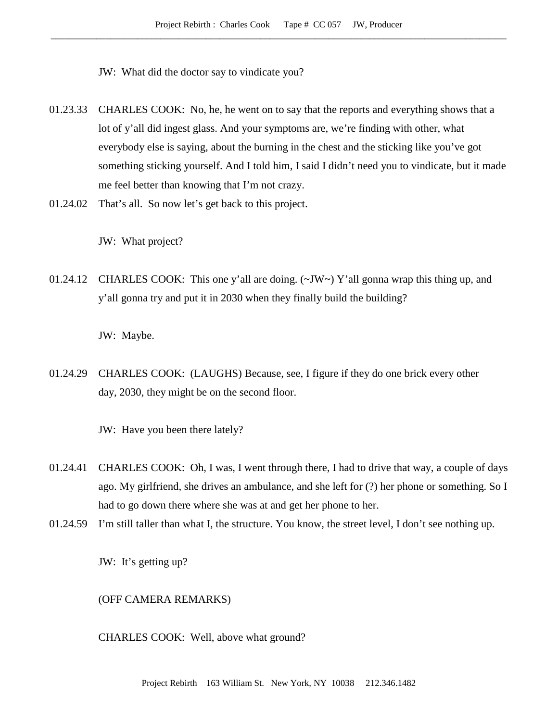JW: What did the doctor say to vindicate you?

- 01.23.33 CHARLES COOK: No, he, he went on to say that the reports and everything shows that a lot of y'all did ingest glass. And your symptoms are, we're finding with other, what everybody else is saying, about the burning in the chest and the sticking like you've got something sticking yourself. And I told him, I said I didn't need you to vindicate, but it made me feel better than knowing that I'm not crazy.
- 01.24.02 That's all. So now let's get back to this project.

JW: What project?

01.24.12 CHARLES COOK: This one y'all are doing.  $(\sim JW \sim)$  Y'all gonna wrap this thing up, and y'all gonna try and put it in 2030 when they finally build the building?

JW: Maybe.

01.24.29 CHARLES COOK: (LAUGHS) Because, see, I figure if they do one brick every other day, 2030, they might be on the second floor.

JW: Have you been there lately?

- 01.24.41 CHARLES COOK: Oh, I was, I went through there, I had to drive that way, a couple of days ago. My girlfriend, she drives an ambulance, and she left for (?) her phone or something. So I had to go down there where she was at and get her phone to her.
- 01.24.59 I'm still taller than what I, the structure. You know, the street level, I don't see nothing up.

JW: It's getting up?

(OFF CAMERA REMARKS)

CHARLES COOK: Well, above what ground?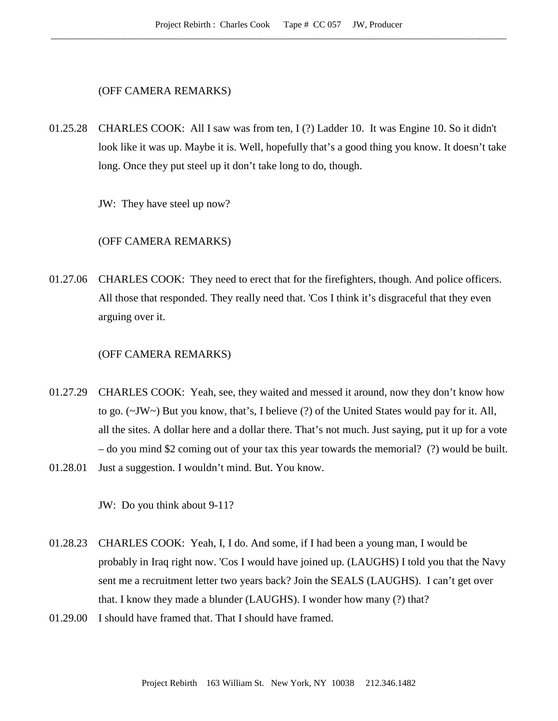## (OFF CAMERA REMARKS)

01.25.28 CHARLES COOK: All I saw was from ten, I (?) Ladder 10. It was Engine 10. So it didn't look like it was up. Maybe it is. Well, hopefully that's a good thing you know. It doesn't take long. Once they put steel up it don't take long to do, though.

JW: They have steel up now?

# (OFF CAMERA REMARKS)

01.27.06 CHARLES COOK: They need to erect that for the firefighters, though. And police officers. All those that responded. They really need that. 'Cos I think it's disgraceful that they even arguing over it.

#### (OFF CAMERA REMARKS)

- 01.27.29 CHARLES COOK: Yeah, see, they waited and messed it around, now they don't know how to go. (~JW~) But you know, that's, I believe (?) of the United States would pay for it. All, all the sites. A dollar here and a dollar there. That's not much. Just saying, put it up for a vote – do you mind \$2 coming out of your tax this year towards the memorial? (?) would be built.
- 01.28.01 Just a suggestion. I wouldn't mind. But. You know.

JW: Do you think about 9-11?

- 01.28.23 CHARLES COOK: Yeah, I, I do. And some, if I had been a young man, I would be probably in Iraq right now. 'Cos I would have joined up. (LAUGHS) I told you that the Navy sent me a recruitment letter two years back? Join the SEALS (LAUGHS). I can't get over that. I know they made a blunder (LAUGHS). I wonder how many (?) that?
- 01.29.00 I should have framed that. That I should have framed.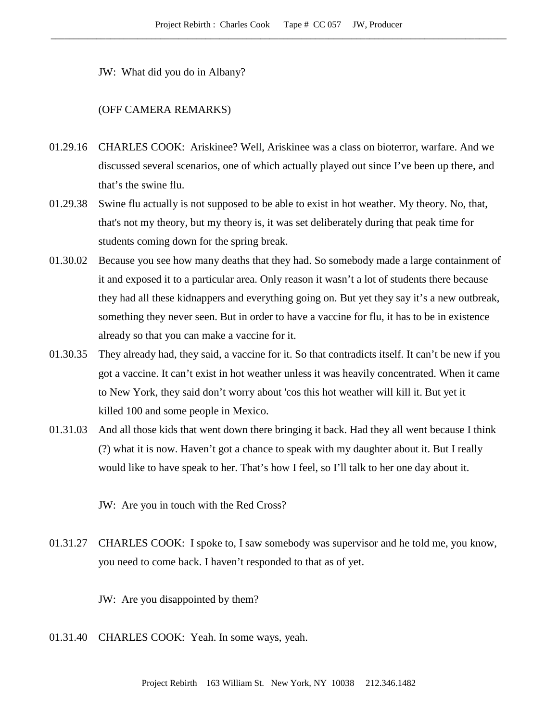JW: What did you do in Albany?

## (OFF CAMERA REMARKS)

- 01.29.16 CHARLES COOK: Ariskinee? Well, Ariskinee was a class on bioterror, warfare. And we discussed several scenarios, one of which actually played out since I've been up there, and that's the swine flu.
- 01.29.38 Swine flu actually is not supposed to be able to exist in hot weather. My theory. No, that, that's not my theory, but my theory is, it was set deliberately during that peak time for students coming down for the spring break.
- 01.30.02 Because you see how many deaths that they had. So somebody made a large containment of it and exposed it to a particular area. Only reason it wasn't a lot of students there because they had all these kidnappers and everything going on. But yet they say it's a new outbreak, something they never seen. But in order to have a vaccine for flu, it has to be in existence already so that you can make a vaccine for it.
- 01.30.35 They already had, they said, a vaccine for it. So that contradicts itself. It can't be new if you got a vaccine. It can't exist in hot weather unless it was heavily concentrated. When it came to New York, they said don't worry about 'cos this hot weather will kill it. But yet it killed 100 and some people in Mexico.
- 01.31.03 And all those kids that went down there bringing it back. Had they all went because I think (?) what it is now. Haven't got a chance to speak with my daughter about it. But I really would like to have speak to her. That's how I feel, so I'll talk to her one day about it.

JW: Are you in touch with the Red Cross?

01.31.27 CHARLES COOK: I spoke to, I saw somebody was supervisor and he told me, you know, you need to come back. I haven't responded to that as of yet.

JW: Are you disappointed by them?

01.31.40 CHARLES COOK: Yeah. In some ways, yeah.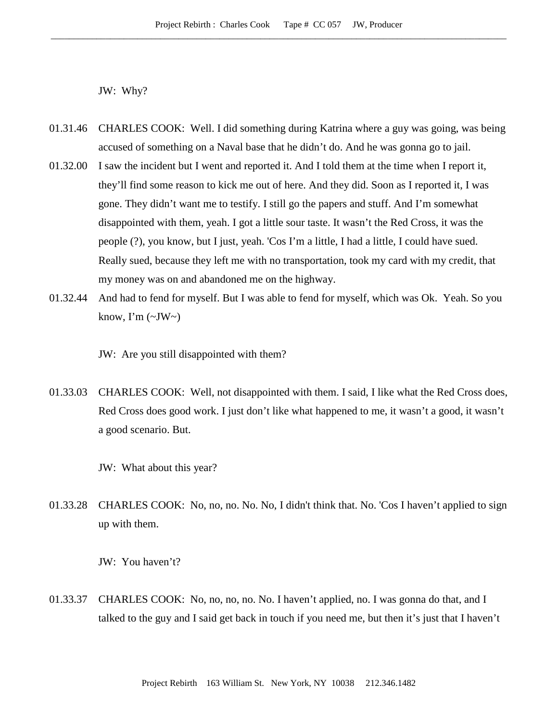JW: Why?

- 01.31.46 CHARLES COOK: Well. I did something during Katrina where a guy was going, was being accused of something on a Naval base that he didn't do. And he was gonna go to jail.
- 01.32.00 I saw the incident but I went and reported it. And I told them at the time when I report it, they'll find some reason to kick me out of here. And they did. Soon as I reported it, I was gone. They didn't want me to testify. I still go the papers and stuff. And I'm somewhat disappointed with them, yeah. I got a little sour taste. It wasn't the Red Cross, it was the people (?), you know, but I just, yeah. 'Cos I'm a little, I had a little, I could have sued. Really sued, because they left me with no transportation, took my card with my credit, that my money was on and abandoned me on the highway.
- 01.32.44 And had to fend for myself. But I was able to fend for myself, which was Ok. Yeah. So you know, I'm  $(\sim JW)$

JW: Are you still disappointed with them?

- 01.33.03 CHARLES COOK: Well, not disappointed with them. I said, I like what the Red Cross does, Red Cross does good work. I just don't like what happened to me, it wasn't a good, it wasn't a good scenario. But.
	- JW: What about this year?
- 01.33.28 CHARLES COOK: No, no, no. No. No, I didn't think that. No. 'Cos I haven't applied to sign up with them.

JW: You haven't?

01.33.37 CHARLES COOK: No, no, no, no. No. I haven't applied, no. I was gonna do that, and I talked to the guy and I said get back in touch if you need me, but then it's just that I haven't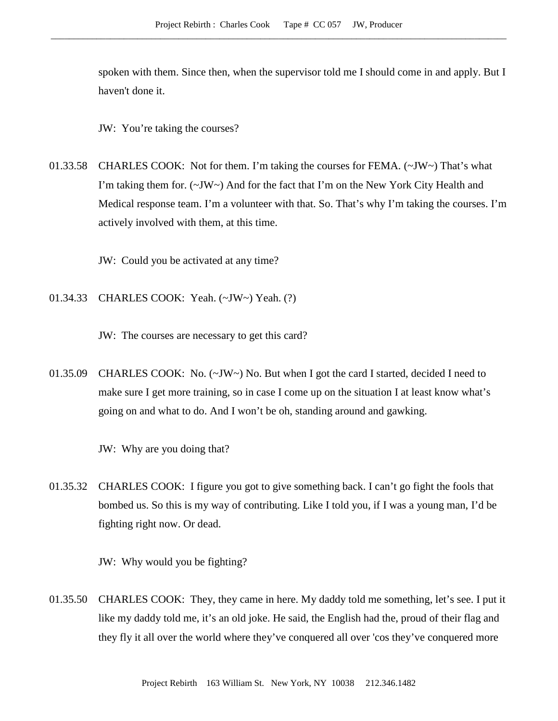spoken with them. Since then, when the supervisor told me I should come in and apply. But I haven't done it.

JW: You're taking the courses?

01.33.58 CHARLES COOK: Not for them. I'm taking the courses for FEMA. (~JW~) That's what I'm taking them for. (~JW~) And for the fact that I'm on the New York City Health and Medical response team. I'm a volunteer with that. So. That's why I'm taking the courses. I'm actively involved with them, at this time.

JW: Could you be activated at any time?

01.34.33 CHARLES COOK: Yeah. (~JW~) Yeah. (?)

JW: The courses are necessary to get this card?

01.35.09 CHARLES COOK: No. (~JW~) No. But when I got the card I started, decided I need to make sure I get more training, so in case I come up on the situation I at least know what's going on and what to do. And I won't be oh, standing around and gawking.

JW: Why are you doing that?

01.35.32 CHARLES COOK: I figure you got to give something back. I can't go fight the fools that bombed us. So this is my way of contributing. Like I told you, if I was a young man, I'd be fighting right now. Or dead.

JW: Why would you be fighting?

01.35.50 CHARLES COOK: They, they came in here. My daddy told me something, let's see. I put it like my daddy told me, it's an old joke. He said, the English had the, proud of their flag and they fly it all over the world where they've conquered all over 'cos they've conquered more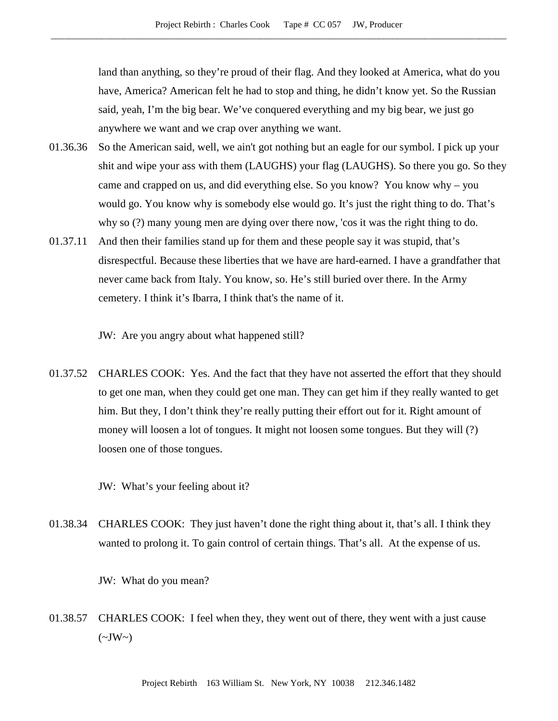land than anything, so they're proud of their flag. And they looked at America, what do you have, America? American felt he had to stop and thing, he didn't know yet. So the Russian said, yeah, I'm the big bear. We've conquered everything and my big bear, we just go anywhere we want and we crap over anything we want.

- 01.36.36 So the American said, well, we ain't got nothing but an eagle for our symbol. I pick up your shit and wipe your ass with them (LAUGHS) your flag (LAUGHS). So there you go. So they came and crapped on us, and did everything else. So you know? You know why – you would go. You know why is somebody else would go. It's just the right thing to do. That's why so (?) many young men are dying over there now, 'cos it was the right thing to do.
- 01.37.11 And then their families stand up for them and these people say it was stupid, that's disrespectful. Because these liberties that we have are hard-earned. I have a grandfather that never came back from Italy. You know, so. He's still buried over there. In the Army cemetery. I think it's Ibarra, I think that's the name of it.

JW: Are you angry about what happened still?

01.37.52 CHARLES COOK: Yes. And the fact that they have not asserted the effort that they should to get one man, when they could get one man. They can get him if they really wanted to get him. But they, I don't think they're really putting their effort out for it. Right amount of money will loosen a lot of tongues. It might not loosen some tongues. But they will (?) loosen one of those tongues.

JW: What's your feeling about it?

01.38.34 CHARLES COOK: They just haven't done the right thing about it, that's all. I think they wanted to prolong it. To gain control of certain things. That's all. At the expense of us.

JW: What do you mean?

01.38.57 CHARLES COOK: I feel when they, they went out of there, they went with a just cause  $(\sim JW \sim)$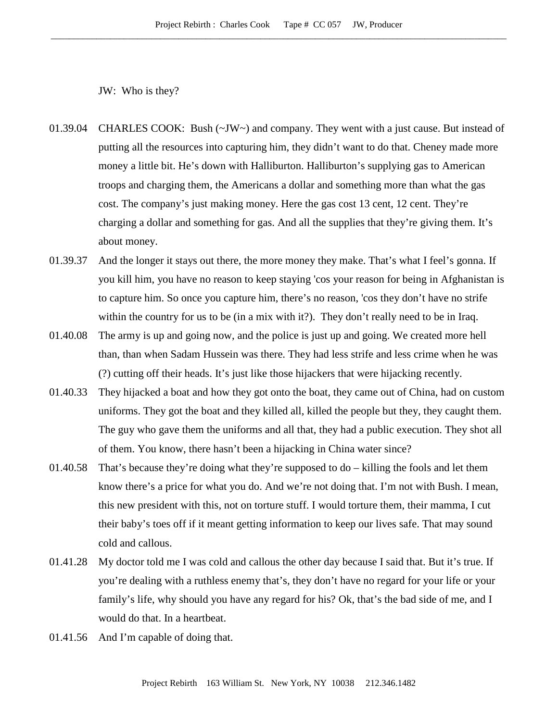JW: Who is they?

- 01.39.04 CHARLES COOK: Bush (~JW~) and company. They went with a just cause. But instead of putting all the resources into capturing him, they didn't want to do that. Cheney made more money a little bit. He's down with Halliburton. Halliburton's supplying gas to American troops and charging them, the Americans a dollar and something more than what the gas cost. The company's just making money. Here the gas cost 13 cent, 12 cent. They're charging a dollar and something for gas. And all the supplies that they're giving them. It's about money.
- 01.39.37 And the longer it stays out there, the more money they make. That's what I feel's gonna. If you kill him, you have no reason to keep staying 'cos your reason for being in Afghanistan is to capture him. So once you capture him, there's no reason, 'cos they don't have no strife within the country for us to be (in a mix with it?). They don't really need to be in Iraq.
- 01.40.08 The army is up and going now, and the police is just up and going. We created more hell than, than when Sadam Hussein was there. They had less strife and less crime when he was (?) cutting off their heads. It's just like those hijackers that were hijacking recently.
- 01.40.33 They hijacked a boat and how they got onto the boat, they came out of China, had on custom uniforms. They got the boat and they killed all, killed the people but they, they caught them. The guy who gave them the uniforms and all that, they had a public execution. They shot all of them. You know, there hasn't been a hijacking in China water since?
- 01.40.58 That's because they're doing what they're supposed to do killing the fools and let them know there's a price for what you do. And we're not doing that. I'm not with Bush. I mean, this new president with this, not on torture stuff. I would torture them, their mamma, I cut their baby's toes off if it meant getting information to keep our lives safe. That may sound cold and callous.
- 01.41.28 My doctor told me I was cold and callous the other day because I said that. But it's true. If you're dealing with a ruthless enemy that's, they don't have no regard for your life or your family's life, why should you have any regard for his? Ok, that's the bad side of me, and I would do that. In a heartbeat.
- 01.41.56 And I'm capable of doing that.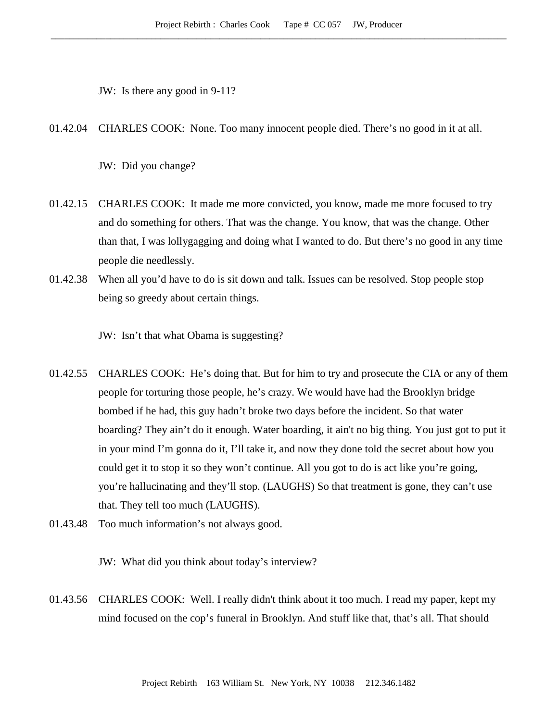JW: Is there any good in 9-11?

01.42.04 CHARLES COOK: None. Too many innocent people died. There's no good in it at all.

JW: Did you change?

- 01.42.15 CHARLES COOK: It made me more convicted, you know, made me more focused to try and do something for others. That was the change. You know, that was the change. Other than that, I was lollygagging and doing what I wanted to do. But there's no good in any time people die needlessly.
- 01.42.38 When all you'd have to do is sit down and talk. Issues can be resolved. Stop people stop being so greedy about certain things.

JW: Isn't that what Obama is suggesting?

- 01.42.55 CHARLES COOK: He's doing that. But for him to try and prosecute the CIA or any of them people for torturing those people, he's crazy. We would have had the Brooklyn bridge bombed if he had, this guy hadn't broke two days before the incident. So that water boarding? They ain't do it enough. Water boarding, it ain't no big thing. You just got to put it in your mind I'm gonna do it, I'll take it, and now they done told the secret about how you could get it to stop it so they won't continue. All you got to do is act like you're going, you're hallucinating and they'll stop. (LAUGHS) So that treatment is gone, they can't use that. They tell too much (LAUGHS).
- 01.43.48 Too much information's not always good.

JW: What did you think about today's interview?

01.43.56 CHARLES COOK: Well. I really didn't think about it too much. I read my paper, kept my mind focused on the cop's funeral in Brooklyn. And stuff like that, that's all. That should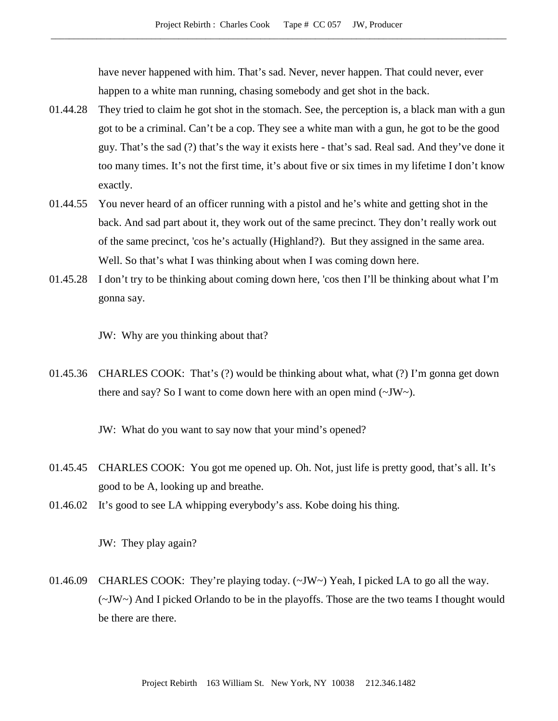have never happened with him. That's sad. Never, never happen. That could never, ever happen to a white man running, chasing somebody and get shot in the back.

- 01.44.28 They tried to claim he got shot in the stomach. See, the perception is, a black man with a gun got to be a criminal. Can't be a cop. They see a white man with a gun, he got to be the good guy. That's the sad (?) that's the way it exists here - that's sad. Real sad. And they've done it too many times. It's not the first time, it's about five or six times in my lifetime I don't know exactly.
- 01.44.55 You never heard of an officer running with a pistol and he's white and getting shot in the back. And sad part about it, they work out of the same precinct. They don't really work out of the same precinct, 'cos he's actually (Highland?). But they assigned in the same area. Well. So that's what I was thinking about when I was coming down here.
- 01.45.28 I don't try to be thinking about coming down here, 'cos then I'll be thinking about what I'm gonna say.

JW: Why are you thinking about that?

01.45.36 CHARLES COOK: That's (?) would be thinking about what, what (?) I'm gonna get down there and say? So I want to come down here with an open mind (~JW~).

JW: What do you want to say now that your mind's opened?

- 01.45.45 CHARLES COOK: You got me opened up. Oh. Not, just life is pretty good, that's all. It's good to be A, looking up and breathe.
- 01.46.02 It's good to see LA whipping everybody's ass. Kobe doing his thing.

JW: They play again?

01.46.09 CHARLES COOK: They're playing today. (~JW~) Yeah, I picked LA to go all the way. (~JW~) And I picked Orlando to be in the playoffs. Those are the two teams I thought would be there are there.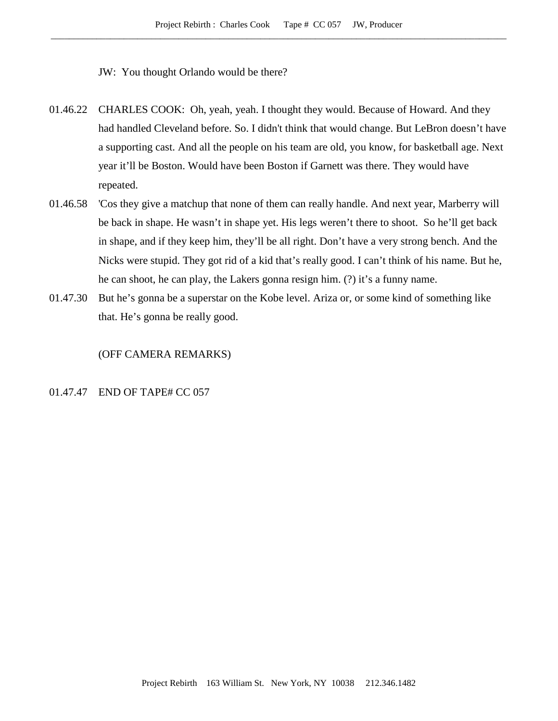- JW: You thought Orlando would be there?
- 01.46.22 CHARLES COOK: Oh, yeah, yeah. I thought they would. Because of Howard. And they had handled Cleveland before. So. I didn't think that would change. But LeBron doesn't have a supporting cast. And all the people on his team are old, you know, for basketball age. Next year it'll be Boston. Would have been Boston if Garnett was there. They would have repeated.
- 01.46.58 'Cos they give a matchup that none of them can really handle. And next year, Marberry will be back in shape. He wasn't in shape yet. His legs weren't there to shoot. So he'll get back in shape, and if they keep him, they'll be all right. Don't have a very strong bench. And the Nicks were stupid. They got rid of a kid that's really good. I can't think of his name. But he, he can shoot, he can play, the Lakers gonna resign him. (?) it's a funny name.
- 01.47.30 But he's gonna be a superstar on the Kobe level. Ariza or, or some kind of something like that. He's gonna be really good.

#### (OFF CAMERA REMARKS)

## 01.47.47 END OF TAPE# CC 057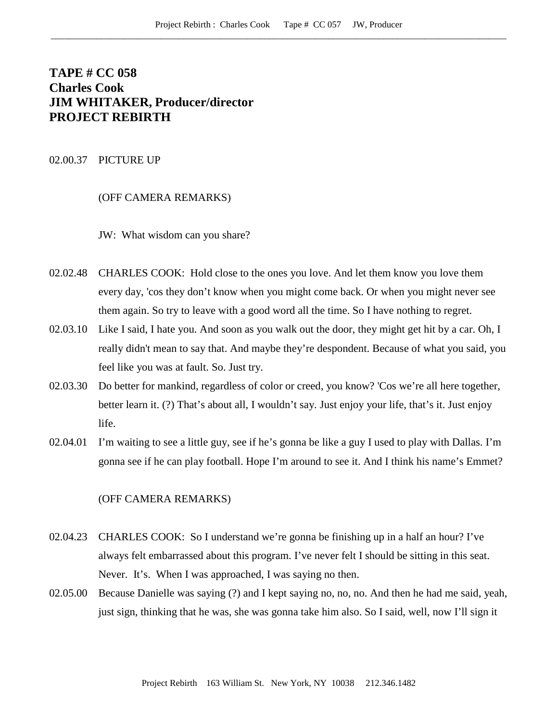# **TAPE # CC 058 Charles Cook JIM WHITAKER, Producer/director PROJECT REBIRTH**

## 02.00.37 PICTURE UP

# (OFF CAMERA REMARKS)

JW: What wisdom can you share?

- 02.02.48 CHARLES COOK: Hold close to the ones you love. And let them know you love them every day, 'cos they don't know when you might come back. Or when you might never see them again. So try to leave with a good word all the time. So I have nothing to regret.
- 02.03.10 Like I said, I hate you. And soon as you walk out the door, they might get hit by a car. Oh, I really didn't mean to say that. And maybe they're despondent. Because of what you said, you feel like you was at fault. So. Just try.
- 02.03.30 Do better for mankind, regardless of color or creed, you know? 'Cos we're all here together, better learn it. (?) That's about all, I wouldn't say. Just enjoy your life, that's it. Just enjoy life.
- 02.04.01 I'm waiting to see a little guy, see if he's gonna be like a guy I used to play with Dallas. I'm gonna see if he can play football. Hope I'm around to see it. And I think his name's Emmet?

## (OFF CAMERA REMARKS)

- 02.04.23 CHARLES COOK: So I understand we're gonna be finishing up in a half an hour? I've always felt embarrassed about this program. I've never felt I should be sitting in this seat. Never. It's. When I was approached, I was saying no then.
- 02.05.00 Because Danielle was saying (?) and I kept saying no, no, no. And then he had me said, yeah, just sign, thinking that he was, she was gonna take him also. So I said, well, now I'll sign it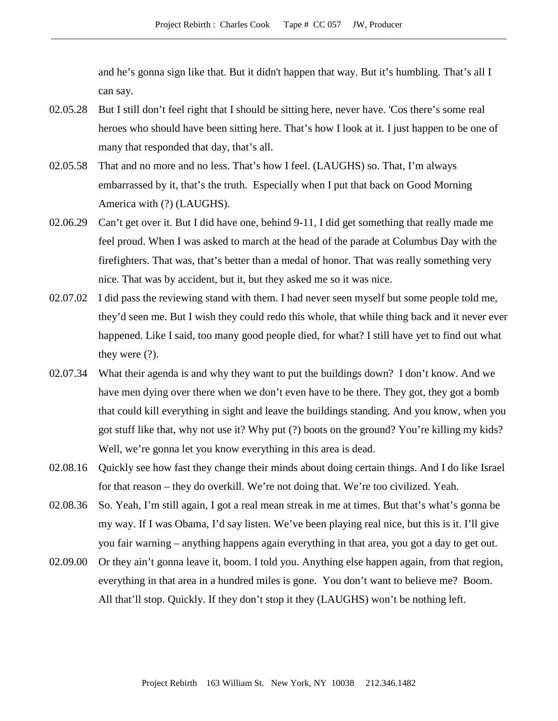and he's gonna sign like that. But it didn't happen that way. But it's humbling. That's all I can say.

- 02.05.28 But I still don't feel right that I should be sitting here, never have. 'Cos there's some real heroes who should have been sitting here. That's how I look at it. I just happen to be one of many that responded that day, that's all.
- 02.05.58 That and no more and no less. That's how I feel. (LAUGHS) so. That, I'm always embarrassed by it, that's the truth. Especially when I put that back on Good Morning America with (?) (LAUGHS).
- 02.06.29 Can't get over it. But I did have one, behind 9-11, I did get something that really made me feel proud. When I was asked to march at the head of the parade at Columbus Day with the firefighters. That was, that's better than a medal of honor. That was really something very nice. That was by accident, but it, but they asked me so it was nice.
- 02.07.02 I did pass the reviewing stand with them. I had never seen myself but some people told me, they'd seen me. But I wish they could redo this whole, that while thing back and it never ever happened. Like I said, too many good people died, for what? I still have yet to find out what they were (?).
- 02.07.34 What their agenda is and why they want to put the buildings down? I don't know. And we have men dying over there when we don't even have to be there. They got, they got a bomb that could kill everything in sight and leave the buildings standing. And you know, when you got stuff like that, why not use it? Why put (?) boots on the ground? You're killing my kids? Well, we're gonna let you know everything in this area is dead.
- 02.08.16 Quickly see how fast they change their minds about doing certain things. And I do like Israel for that reason – they do overkill. We're not doing that. We're too civilized. Yeah.
- 02.08.36 So. Yeah, I'm still again, I got a real mean streak in me at times. But that's what's gonna be my way. If I was Obama, I'd say listen. We've been playing real nice, but this is it. I'll give you fair warning – anything happens again everything in that area, you got a day to get out.
- 02.09.00 Or they ain't gonna leave it, boom. I told you. Anything else happen again, from that region, everything in that area in a hundred miles is gone. You don't want to believe me? Boom. All that'll stop. Quickly. If they don't stop it they (LAUGHS) won't be nothing left.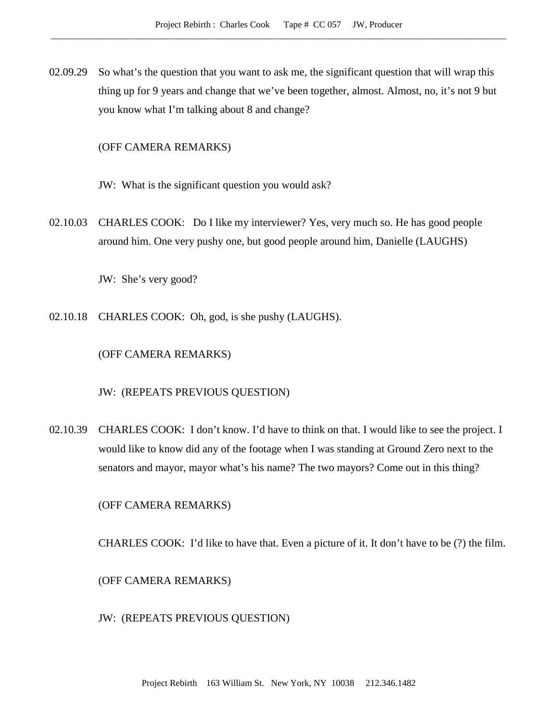02.09.29 So what's the question that you want to ask me, the significant question that will wrap this thing up for 9 years and change that we've been together, almost. Almost, no, it's not 9 but you know what I'm talking about 8 and change?

## (OFF CAMERA REMARKS)

JW: What is the significant question you would ask?

02.10.03 CHARLES COOK: Do I like my interviewer? Yes, very much so. He has good people around him. One very pushy one, but good people around him, Danielle (LAUGHS)

JW: She's very good?

02.10.18 CHARLES COOK: Oh, god, is she pushy (LAUGHS).

(OFF CAMERA REMARKS)

JW: (REPEATS PREVIOUS QUESTION)

02.10.39 CHARLES COOK: I don't know. I'd have to think on that. I would like to see the project. I would like to know did any of the footage when I was standing at Ground Zero next to the senators and mayor, mayor what's his name? The two mayors? Come out in this thing?

(OFF CAMERA REMARKS)

CHARLES COOK: I'd like to have that. Even a picture of it. It don't have to be (?) the film.

(OFF CAMERA REMARKS)

JW: (REPEATS PREVIOUS QUESTION)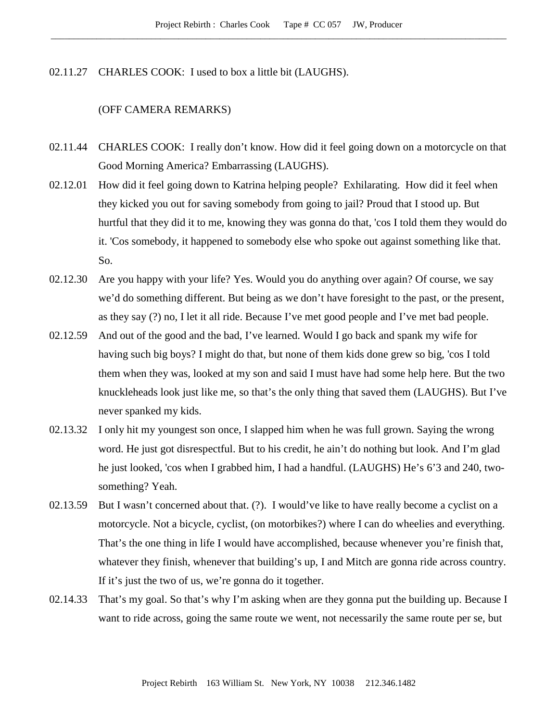02.11.27 CHARLES COOK: I used to box a little bit (LAUGHS).

## (OFF CAMERA REMARKS)

- 02.11.44 CHARLES COOK: I really don't know. How did it feel going down on a motorcycle on that Good Morning America? Embarrassing (LAUGHS).
- 02.12.01 How did it feel going down to Katrina helping people? Exhilarating. How did it feel when they kicked you out for saving somebody from going to jail? Proud that I stood up. But hurtful that they did it to me, knowing they was gonna do that, 'cos I told them they would do it. 'Cos somebody, it happened to somebody else who spoke out against something like that. So.
- 02.12.30 Are you happy with your life? Yes. Would you do anything over again? Of course, we say we'd do something different. But being as we don't have foresight to the past, or the present, as they say (?) no, I let it all ride. Because I've met good people and I've met bad people.
- 02.12.59 And out of the good and the bad, I've learned. Would I go back and spank my wife for having such big boys? I might do that, but none of them kids done grew so big, 'cos I told them when they was, looked at my son and said I must have had some help here. But the two knuckleheads look just like me, so that's the only thing that saved them (LAUGHS). But I've never spanked my kids.
- 02.13.32 I only hit my youngest son once, I slapped him when he was full grown. Saying the wrong word. He just got disrespectful. But to his credit, he ain't do nothing but look. And I'm glad he just looked, 'cos when I grabbed him, I had a handful. (LAUGHS) He's 6'3 and 240, twosomething? Yeah.
- 02.13.59 But I wasn't concerned about that. (?). I would've like to have really become a cyclist on a motorcycle. Not a bicycle, cyclist, (on motorbikes?) where I can do wheelies and everything. That's the one thing in life I would have accomplished, because whenever you're finish that, whatever they finish, whenever that building's up, I and Mitch are gonna ride across country. If it's just the two of us, we're gonna do it together.
- 02.14.33 That's my goal. So that's why I'm asking when are they gonna put the building up. Because I want to ride across, going the same route we went, not necessarily the same route per se, but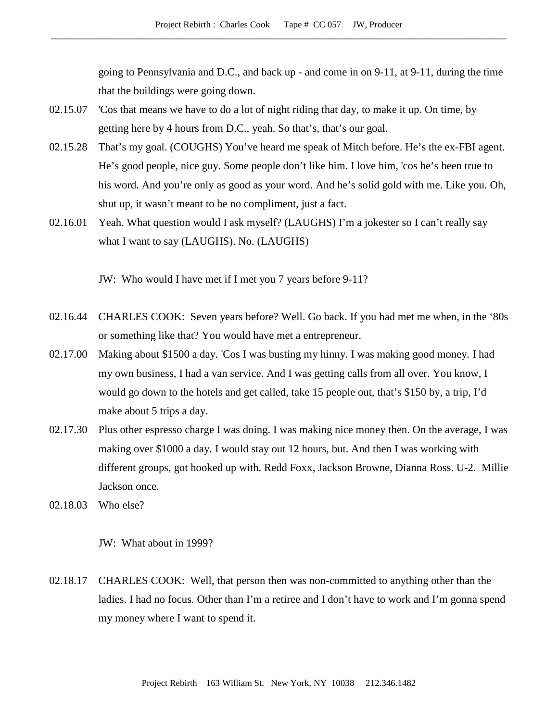going to Pennsylvania and D.C., and back up - and come in on 9-11, at 9-11, during the time that the buildings were going down.

- 02.15.07 'Cos that means we have to do a lot of night riding that day, to make it up. On time, by getting here by 4 hours from D.C., yeah. So that's, that's our goal.
- 02.15.28 That's my goal. (COUGHS) You've heard me speak of Mitch before. He's the ex-FBI agent. He's good people, nice guy. Some people don't like him. I love him, 'cos he's been true to his word. And you're only as good as your word. And he's solid gold with me. Like you. Oh, shut up, it wasn't meant to be no compliment, just a fact.
- 02.16.01 Yeah. What question would I ask myself? (LAUGHS) I'm a jokester so I can't really say what I want to say (LAUGHS). No. (LAUGHS)

JW: Who would I have met if I met you 7 years before 9-11?

- 02.16.44 CHARLES COOK: Seven years before? Well. Go back. If you had met me when, in the '80s or something like that? You would have met a entrepreneur.
- 02.17.00 Making about \$1500 a day. 'Cos I was busting my hinny. I was making good money. I had my own business, I had a van service. And I was getting calls from all over. You know, I would go down to the hotels and get called, take 15 people out, that's \$150 by, a trip, I'd make about 5 trips a day.
- 02.17.30 Plus other espresso charge I was doing. I was making nice money then. On the average, I was making over \$1000 a day. I would stay out 12 hours, but. And then I was working with different groups, got hooked up with. Redd Foxx, Jackson Browne, Dianna Ross. U-2. Millie Jackson once.
- 02.18.03 Who else?

JW: What about in 1999?

02.18.17 CHARLES COOK: Well, that person then was non-committed to anything other than the ladies. I had no focus. Other than I'm a retiree and I don't have to work and I'm gonna spend my money where I want to spend it.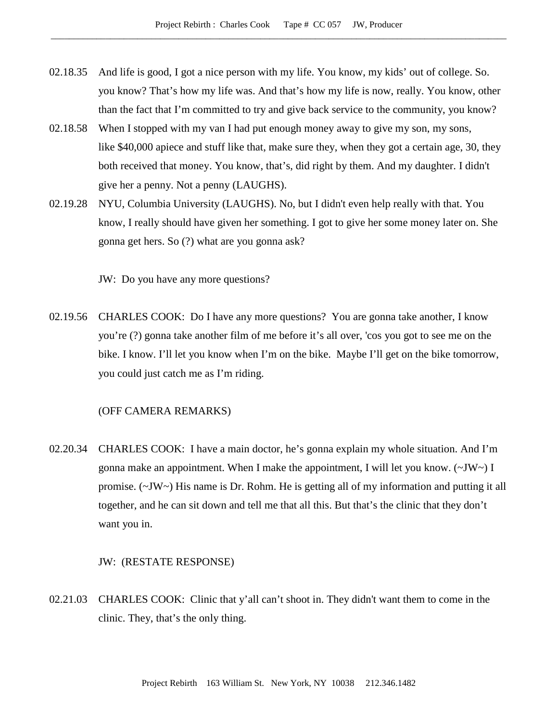- 02.18.35 And life is good, I got a nice person with my life. You know, my kids' out of college. So. you know? That's how my life was. And that's how my life is now, really. You know, other than the fact that I'm committed to try and give back service to the community, you know?
- 02.18.58 When I stopped with my van I had put enough money away to give my son, my sons, like \$40,000 apiece and stuff like that, make sure they, when they got a certain age, 30, they both received that money. You know, that's, did right by them. And my daughter. I didn't give her a penny. Not a penny (LAUGHS).
- 02.19.28 NYU, Columbia University (LAUGHS). No, but I didn't even help really with that. You know, I really should have given her something. I got to give her some money later on. She gonna get hers. So (?) what are you gonna ask?

JW: Do you have any more questions?

02.19.56 CHARLES COOK: Do I have any more questions? You are gonna take another, I know you're (?) gonna take another film of me before it's all over, 'cos you got to see me on the bike. I know. I'll let you know when I'm on the bike. Maybe I'll get on the bike tomorrow, you could just catch me as I'm riding.

## (OFF CAMERA REMARKS)

02.20.34 CHARLES COOK: I have a main doctor, he's gonna explain my whole situation. And I'm gonna make an appointment. When I make the appointment, I will let you know.  $(\sim JW)$  I promise. (~JW~) His name is Dr. Rohm. He is getting all of my information and putting it all together, and he can sit down and tell me that all this. But that's the clinic that they don't want you in.

#### JW: (RESTATE RESPONSE)

02.21.03 CHARLES COOK: Clinic that y'all can't shoot in. They didn't want them to come in the clinic. They, that's the only thing.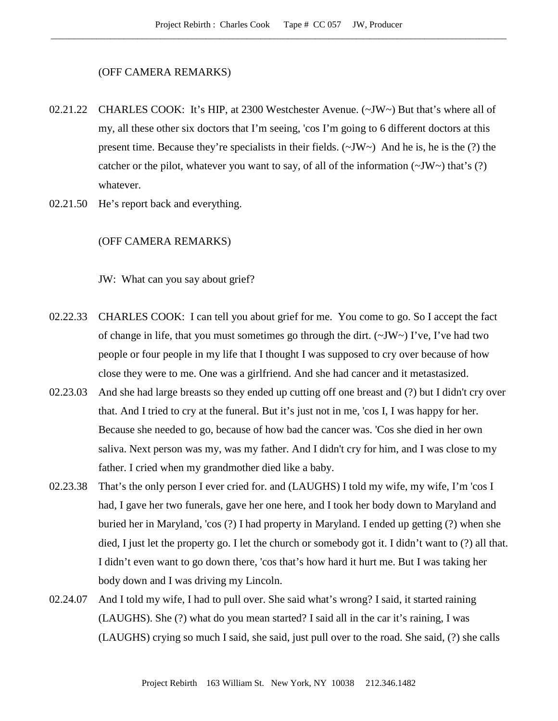#### (OFF CAMERA REMARKS)

- 02.21.22 CHARLES COOK: It's HIP, at 2300 Westchester Avenue. (~JW~) But that's where all of my, all these other six doctors that I'm seeing, 'cos I'm going to 6 different doctors at this present time. Because they're specialists in their fields.  $(\sim JW \sim)$  And he is, he is the (?) the catcher or the pilot, whatever you want to say, of all of the information  $(\sim JW \sim)$  that's (?) whatever.
- 02.21.50 He's report back and everything.

## (OFF CAMERA REMARKS)

JW: What can you say about grief?

- 02.22.33 CHARLES COOK: I can tell you about grief for me. You come to go. So I accept the fact of change in life, that you must sometimes go through the dirt.  $(\sim JW \sim)$  I've, I've had two people or four people in my life that I thought I was supposed to cry over because of how close they were to me. One was a girlfriend. And she had cancer and it metastasized.
- 02.23.03 And she had large breasts so they ended up cutting off one breast and (?) but I didn't cry over that. And I tried to cry at the funeral. But it's just not in me, 'cos I, I was happy for her. Because she needed to go, because of how bad the cancer was. 'Cos she died in her own saliva. Next person was my, was my father. And I didn't cry for him, and I was close to my father. I cried when my grandmother died like a baby.
- 02.23.38 That's the only person I ever cried for. and (LAUGHS) I told my wife, my wife, I'm 'cos I had, I gave her two funerals, gave her one here, and I took her body down to Maryland and buried her in Maryland, 'cos (?) I had property in Maryland. I ended up getting (?) when she died, I just let the property go. I let the church or somebody got it. I didn't want to (?) all that. I didn't even want to go down there, 'cos that's how hard it hurt me. But I was taking her body down and I was driving my Lincoln.
- 02.24.07 And I told my wife, I had to pull over. She said what's wrong? I said, it started raining (LAUGHS). She (?) what do you mean started? I said all in the car it's raining, I was (LAUGHS) crying so much I said, she said, just pull over to the road. She said, (?) she calls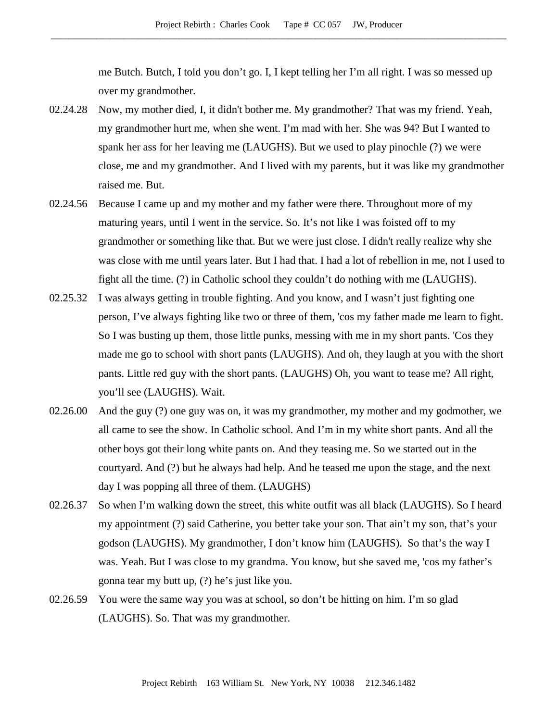me Butch. Butch, I told you don't go. I, I kept telling her I'm all right. I was so messed up over my grandmother.

- 02.24.28 Now, my mother died, I, it didn't bother me. My grandmother? That was my friend. Yeah, my grandmother hurt me, when she went. I'm mad with her. She was 94? But I wanted to spank her ass for her leaving me (LAUGHS). But we used to play pinochle (?) we were close, me and my grandmother. And I lived with my parents, but it was like my grandmother raised me. But.
- 02.24.56 Because I came up and my mother and my father were there. Throughout more of my maturing years, until I went in the service. So. It's not like I was foisted off to my grandmother or something like that. But we were just close. I didn't really realize why she was close with me until years later. But I had that. I had a lot of rebellion in me, not I used to fight all the time. (?) in Catholic school they couldn't do nothing with me (LAUGHS).
- 02.25.32 I was always getting in trouble fighting. And you know, and I wasn't just fighting one person, I've always fighting like two or three of them, 'cos my father made me learn to fight. So I was busting up them, those little punks, messing with me in my short pants. 'Cos they made me go to school with short pants (LAUGHS). And oh, they laugh at you with the short pants. Little red guy with the short pants. (LAUGHS) Oh, you want to tease me? All right, you'll see (LAUGHS). Wait.
- 02.26.00 And the guy (?) one guy was on, it was my grandmother, my mother and my godmother, we all came to see the show. In Catholic school. And I'm in my white short pants. And all the other boys got their long white pants on. And they teasing me. So we started out in the courtyard. And (?) but he always had help. And he teased me upon the stage, and the next day I was popping all three of them. (LAUGHS)
- 02.26.37 So when I'm walking down the street, this white outfit was all black (LAUGHS). So I heard my appointment (?) said Catherine, you better take your son. That ain't my son, that's your godson (LAUGHS). My grandmother, I don't know him (LAUGHS). So that's the way I was. Yeah. But I was close to my grandma. You know, but she saved me, 'cos my father's gonna tear my butt up, (?) he's just like you.
- 02.26.59 You were the same way you was at school, so don't be hitting on him. I'm so glad (LAUGHS). So. That was my grandmother.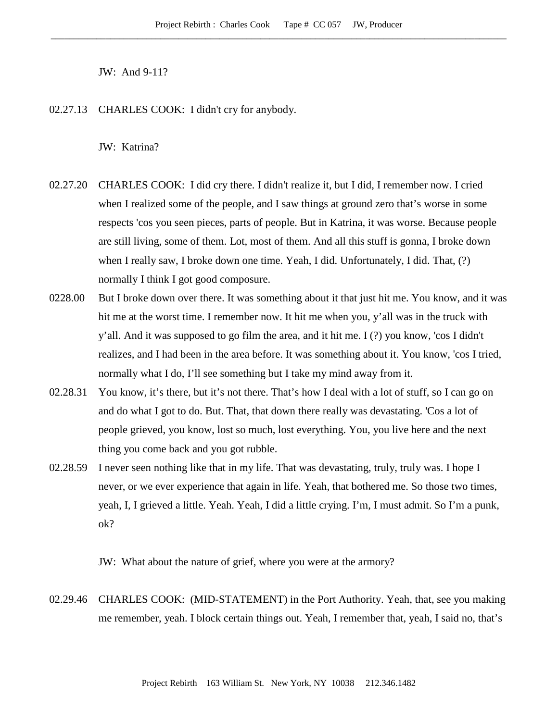JW: And 9-11?

02.27.13 CHARLES COOK: I didn't cry for anybody.

JW: Katrina?

- 02.27.20 CHARLES COOK: I did cry there. I didn't realize it, but I did, I remember now. I cried when I realized some of the people, and I saw things at ground zero that's worse in some respects 'cos you seen pieces, parts of people. But in Katrina, it was worse. Because people are still living, some of them. Lot, most of them. And all this stuff is gonna, I broke down when I really saw, I broke down one time. Yeah, I did. Unfortunately, I did. That, (?) normally I think I got good composure.
- 0228.00 But I broke down over there. It was something about it that just hit me. You know, and it was hit me at the worst time. I remember now. It hit me when you, y'all was in the truck with y'all. And it was supposed to go film the area, and it hit me. I (?) you know, 'cos I didn't realizes, and I had been in the area before. It was something about it. You know, 'cos I tried, normally what I do, I'll see something but I take my mind away from it.
- 02.28.31 You know, it's there, but it's not there. That's how I deal with a lot of stuff, so I can go on and do what I got to do. But. That, that down there really was devastating. 'Cos a lot of people grieved, you know, lost so much, lost everything. You, you live here and the next thing you come back and you got rubble.
- 02.28.59 I never seen nothing like that in my life. That was devastating, truly, truly was. I hope I never, or we ever experience that again in life. Yeah, that bothered me. So those two times, yeah, I, I grieved a little. Yeah. Yeah, I did a little crying. I'm, I must admit. So I'm a punk, ok?

JW: What about the nature of grief, where you were at the armory?

02.29.46 CHARLES COOK: (MID-STATEMENT) in the Port Authority. Yeah, that, see you making me remember, yeah. I block certain things out. Yeah, I remember that, yeah, I said no, that's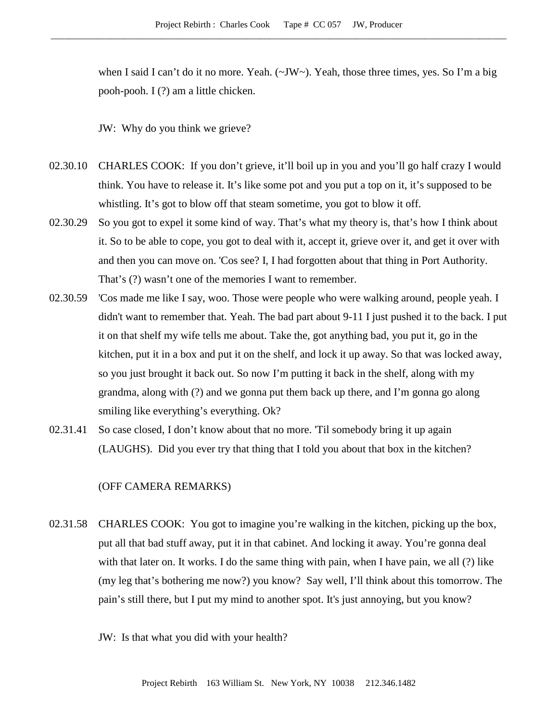when I said I can't do it no more. Yeah. (~JW~). Yeah, those three times, yes. So I'm a big pooh-pooh. I (?) am a little chicken.

JW: Why do you think we grieve?

- 02.30.10 CHARLES COOK: If you don't grieve, it'll boil up in you and you'll go half crazy I would think. You have to release it. It's like some pot and you put a top on it, it's supposed to be whistling. It's got to blow off that steam sometime, you got to blow it off.
- 02.30.29 So you got to expel it some kind of way. That's what my theory is, that's how I think about it. So to be able to cope, you got to deal with it, accept it, grieve over it, and get it over with and then you can move on. 'Cos see? I, I had forgotten about that thing in Port Authority. That's (?) wasn't one of the memories I want to remember.
- 02.30.59 'Cos made me like I say, woo. Those were people who were walking around, people yeah. I didn't want to remember that. Yeah. The bad part about 9-11 I just pushed it to the back. I put it on that shelf my wife tells me about. Take the, got anything bad, you put it, go in the kitchen, put it in a box and put it on the shelf, and lock it up away. So that was locked away, so you just brought it back out. So now I'm putting it back in the shelf, along with my grandma, along with (?) and we gonna put them back up there, and I'm gonna go along smiling like everything's everything. Ok?
- 02.31.41 So case closed, I don't know about that no more. 'Til somebody bring it up again (LAUGHS). Did you ever try that thing that I told you about that box in the kitchen?

## (OFF CAMERA REMARKS)

02.31.58 CHARLES COOK: You got to imagine you're walking in the kitchen, picking up the box, put all that bad stuff away, put it in that cabinet. And locking it away. You're gonna deal with that later on. It works. I do the same thing with pain, when I have pain, we all (?) like (my leg that's bothering me now?) you know? Say well, I'll think about this tomorrow. The pain's still there, but I put my mind to another spot. It's just annoying, but you know?

JW: Is that what you did with your health?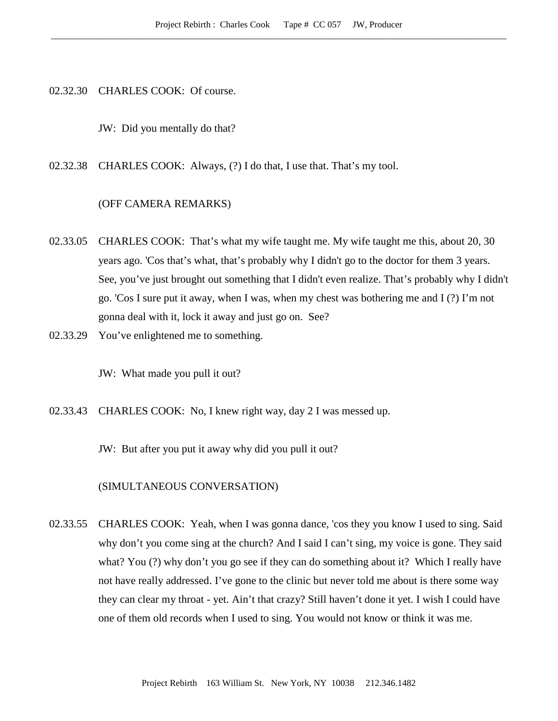02.32.30 CHARLES COOK: Of course.

JW: Did you mentally do that?

02.32.38 CHARLES COOK: Always, (?) I do that, I use that. That's my tool.

#### (OFF CAMERA REMARKS)

- 02.33.05 CHARLES COOK: That's what my wife taught me. My wife taught me this, about 20, 30 years ago. 'Cos that's what, that's probably why I didn't go to the doctor for them 3 years. See, you've just brought out something that I didn't even realize. That's probably why I didn't go. 'Cos I sure put it away, when I was, when my chest was bothering me and I (?) I'm not gonna deal with it, lock it away and just go on. See?
- 02.33.29 You've enlightened me to something.

JW: What made you pull it out?

02.33.43 CHARLES COOK: No, I knew right way, day 2 I was messed up.

JW: But after you put it away why did you pull it out?

(SIMULTANEOUS CONVERSATION)

02.33.55 CHARLES COOK: Yeah, when I was gonna dance, 'cos they you know I used to sing. Said why don't you come sing at the church? And I said I can't sing, my voice is gone. They said what? You (?) why don't you go see if they can do something about it? Which I really have not have really addressed. I've gone to the clinic but never told me about is there some way they can clear my throat - yet. Ain't that crazy? Still haven't done it yet. I wish I could have one of them old records when I used to sing. You would not know or think it was me.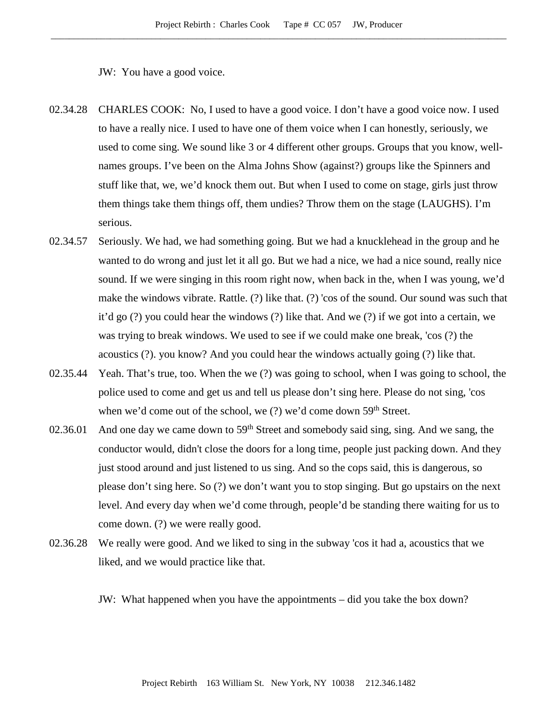JW: You have a good voice.

- 02.34.28 CHARLES COOK: No, I used to have a good voice. I don't have a good voice now. I used to have a really nice. I used to have one of them voice when I can honestly, seriously, we used to come sing. We sound like 3 or 4 different other groups. Groups that you know, wellnames groups. I've been on the Alma Johns Show (against?) groups like the Spinners and stuff like that, we, we'd knock them out. But when I used to come on stage, girls just throw them things take them things off, them undies? Throw them on the stage (LAUGHS). I'm serious.
- 02.34.57 Seriously. We had, we had something going. But we had a knucklehead in the group and he wanted to do wrong and just let it all go. But we had a nice, we had a nice sound, really nice sound. If we were singing in this room right now, when back in the, when I was young, we'd make the windows vibrate. Rattle. (?) like that. (?) 'cos of the sound. Our sound was such that it'd go (?) you could hear the windows (?) like that. And we (?) if we got into a certain, we was trying to break windows. We used to see if we could make one break, 'cos (?) the acoustics (?). you know? And you could hear the windows actually going (?) like that.
- 02.35.44 Yeah. That's true, too. When the we (?) was going to school, when I was going to school, the police used to come and get us and tell us please don't sing here. Please do not sing, 'cos when we'd come out of the school, we  $(?)$  we'd come down  $59<sup>th</sup>$  Street.
- 02.36.01 And one day we came down to  $59<sup>th</sup>$  Street and somebody said sing, sing. And we sang, the conductor would, didn't close the doors for a long time, people just packing down. And they just stood around and just listened to us sing. And so the cops said, this is dangerous, so please don't sing here. So (?) we don't want you to stop singing. But go upstairs on the next level. And every day when we'd come through, people'd be standing there waiting for us to come down. (?) we were really good.
- 02.36.28 We really were good. And we liked to sing in the subway 'cos it had a, acoustics that we liked, and we would practice like that.

JW: What happened when you have the appointments – did you take the box down?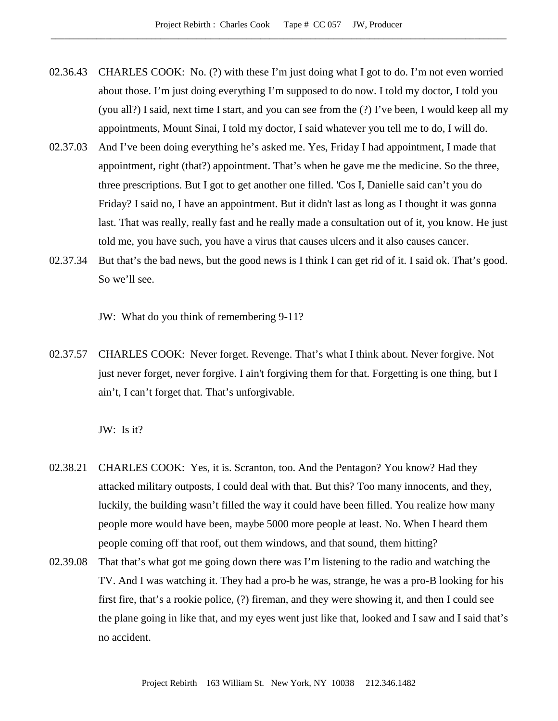- 02.36.43 CHARLES COOK: No. (?) with these I'm just doing what I got to do. I'm not even worried about those. I'm just doing everything I'm supposed to do now. I told my doctor, I told you (you all?) I said, next time I start, and you can see from the (?) I've been, I would keep all my appointments, Mount Sinai, I told my doctor, I said whatever you tell me to do, I will do.
- 02.37.03 And I've been doing everything he's asked me. Yes, Friday I had appointment, I made that appointment, right (that?) appointment. That's when he gave me the medicine. So the three, three prescriptions. But I got to get another one filled. 'Cos I, Danielle said can't you do Friday? I said no, I have an appointment. But it didn't last as long as I thought it was gonna last. That was really, really fast and he really made a consultation out of it, you know. He just told me, you have such, you have a virus that causes ulcers and it also causes cancer.
- 02.37.34 But that's the bad news, but the good news is I think I can get rid of it. I said ok. That's good. So we'll see.

JW: What do you think of remembering 9-11?

02.37.57 CHARLES COOK: Never forget. Revenge. That's what I think about. Never forgive. Not just never forget, never forgive. I ain't forgiving them for that. Forgetting is one thing, but I ain't, I can't forget that. That's unforgivable.

JW: Is it?

- 02.38.21 CHARLES COOK: Yes, it is. Scranton, too. And the Pentagon? You know? Had they attacked military outposts, I could deal with that. But this? Too many innocents, and they, luckily, the building wasn't filled the way it could have been filled. You realize how many people more would have been, maybe 5000 more people at least. No. When I heard them people coming off that roof, out them windows, and that sound, them hitting?
- 02.39.08 That that's what got me going down there was I'm listening to the radio and watching the TV. And I was watching it. They had a pro-b he was, strange, he was a pro-B looking for his first fire, that's a rookie police, (?) fireman, and they were showing it, and then I could see the plane going in like that, and my eyes went just like that, looked and I saw and I said that's no accident.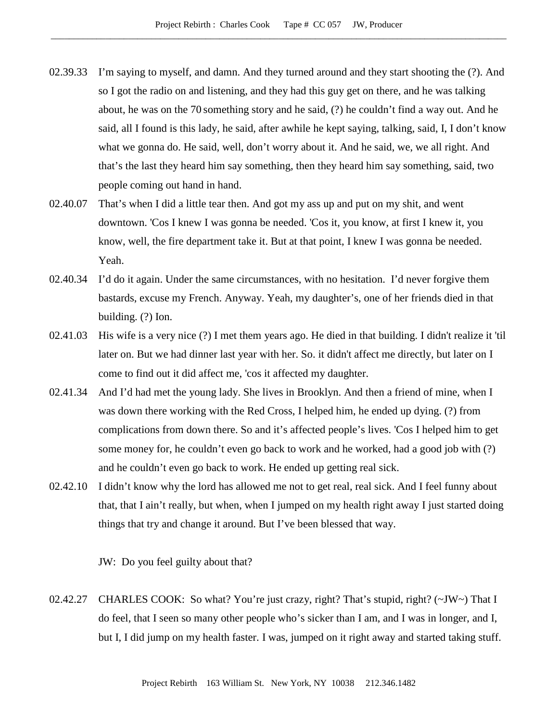- 02.39.33 I'm saying to myself, and damn. And they turned around and they start shooting the (?). And so I got the radio on and listening, and they had this guy get on there, and he was talking about, he was on the 70 something story and he said, (?) he couldn't find a way out. And he said, all I found is this lady, he said, after awhile he kept saying, talking, said, I, I don't know what we gonna do. He said, well, don't worry about it. And he said, we, we all right. And that's the last they heard him say something, then they heard him say something, said, two people coming out hand in hand.
- 02.40.07 That's when I did a little tear then. And got my ass up and put on my shit, and went downtown. 'Cos I knew I was gonna be needed. 'Cos it, you know, at first I knew it, you know, well, the fire department take it. But at that point, I knew I was gonna be needed. Yeah.
- 02.40.34 I'd do it again. Under the same circumstances, with no hesitation. I'd never forgive them bastards, excuse my French. Anyway. Yeah, my daughter's, one of her friends died in that building. (?) Ion.
- 02.41.03 His wife is a very nice (?) I met them years ago. He died in that building. I didn't realize it 'til later on. But we had dinner last year with her. So. it didn't affect me directly, but later on I come to find out it did affect me, 'cos it affected my daughter.
- 02.41.34 And I'd had met the young lady. She lives in Brooklyn. And then a friend of mine, when I was down there working with the Red Cross, I helped him, he ended up dying. (?) from complications from down there. So and it's affected people's lives. 'Cos I helped him to get some money for, he couldn't even go back to work and he worked, had a good job with (?) and he couldn't even go back to work. He ended up getting real sick.
- 02.42.10 I didn't know why the lord has allowed me not to get real, real sick. And I feel funny about that, that I ain't really, but when, when I jumped on my health right away I just started doing things that try and change it around. But I've been blessed that way.

JW: Do you feel guilty about that?

02.42.27 CHARLES COOK: So what? You're just crazy, right? That's stupid, right? (~JW~) That I do feel, that I seen so many other people who's sicker than I am, and I was in longer, and I, but I, I did jump on my health faster. I was, jumped on it right away and started taking stuff.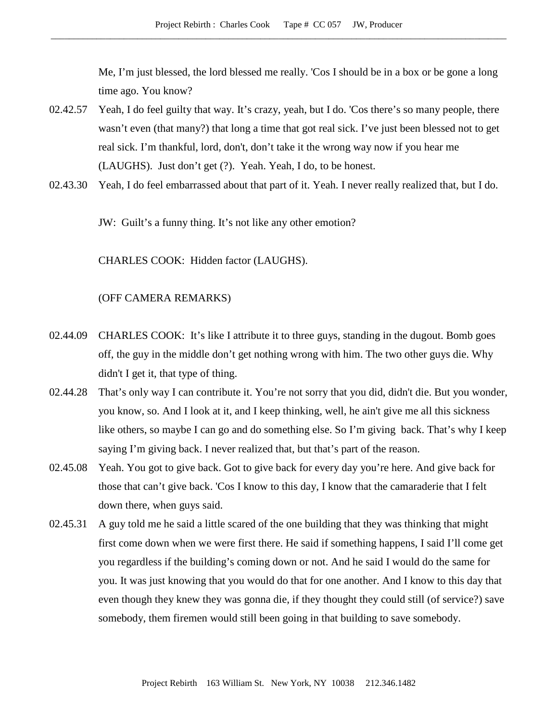Me, I'm just blessed, the lord blessed me really. 'Cos I should be in a box or be gone a long time ago. You know?

- 02.42.57 Yeah, I do feel guilty that way. It's crazy, yeah, but I do. 'Cos there's so many people, there wasn't even (that many?) that long a time that got real sick. I've just been blessed not to get real sick. I'm thankful, lord, don't, don't take it the wrong way now if you hear me (LAUGHS). Just don't get (?). Yeah. Yeah, I do, to be honest.
- 02.43.30 Yeah, I do feel embarrassed about that part of it. Yeah. I never really realized that, but I do.

JW: Guilt's a funny thing. It's not like any other emotion?

CHARLES COOK: Hidden factor (LAUGHS).

## (OFF CAMERA REMARKS)

- 02.44.09 CHARLES COOK: It's like I attribute it to three guys, standing in the dugout. Bomb goes off, the guy in the middle don't get nothing wrong with him. The two other guys die. Why didn't I get it, that type of thing.
- 02.44.28 That's only way I can contribute it. You're not sorry that you did, didn't die. But you wonder, you know, so. And I look at it, and I keep thinking, well, he ain't give me all this sickness like others, so maybe I can go and do something else. So I'm giving back. That's why I keep saying I'm giving back. I never realized that, but that's part of the reason.
- 02.45.08 Yeah. You got to give back. Got to give back for every day you're here. And give back for those that can't give back. 'Cos I know to this day, I know that the camaraderie that I felt down there, when guys said.
- 02.45.31 A guy told me he said a little scared of the one building that they was thinking that might first come down when we were first there. He said if something happens, I said I'll come get you regardless if the building's coming down or not. And he said I would do the same for you. It was just knowing that you would do that for one another. And I know to this day that even though they knew they was gonna die, if they thought they could still (of service?) save somebody, them firemen would still been going in that building to save somebody.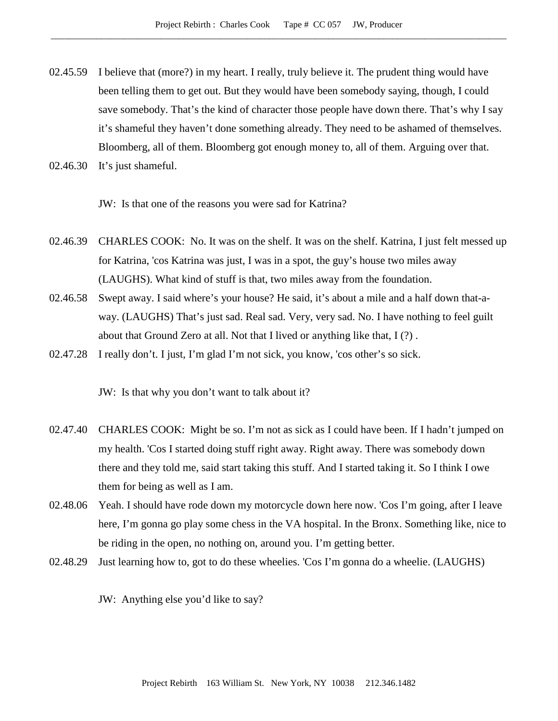- 02.45.59 I believe that (more?) in my heart. I really, truly believe it. The prudent thing would have been telling them to get out. But they would have been somebody saying, though, I could save somebody. That's the kind of character those people have down there. That's why I say it's shameful they haven't done something already. They need to be ashamed of themselves. Bloomberg, all of them. Bloomberg got enough money to, all of them. Arguing over that.
- 02.46.30 It's just shameful.

JW: Is that one of the reasons you were sad for Katrina?

- 02.46.39 CHARLES COOK: No. It was on the shelf. It was on the shelf. Katrina, I just felt messed up for Katrina, 'cos Katrina was just, I was in a spot, the guy's house two miles away (LAUGHS). What kind of stuff is that, two miles away from the foundation.
- 02.46.58 Swept away. I said where's your house? He said, it's about a mile and a half down that-away. (LAUGHS) That's just sad. Real sad. Very, very sad. No. I have nothing to feel guilt about that Ground Zero at all. Not that I lived or anything like that, I (?) .
- 02.47.28 I really don't. I just, I'm glad I'm not sick, you know, 'cos other's so sick.

JW: Is that why you don't want to talk about it?

- 02.47.40 CHARLES COOK: Might be so. I'm not as sick as I could have been. If I hadn't jumped on my health. 'Cos I started doing stuff right away. Right away. There was somebody down there and they told me, said start taking this stuff. And I started taking it. So I think I owe them for being as well as I am.
- 02.48.06 Yeah. I should have rode down my motorcycle down here now. 'Cos I'm going, after I leave here, I'm gonna go play some chess in the VA hospital. In the Bronx. Something like, nice to be riding in the open, no nothing on, around you. I'm getting better.
- 02.48.29 Just learning how to, got to do these wheelies. 'Cos I'm gonna do a wheelie. (LAUGHS)

JW: Anything else you'd like to say?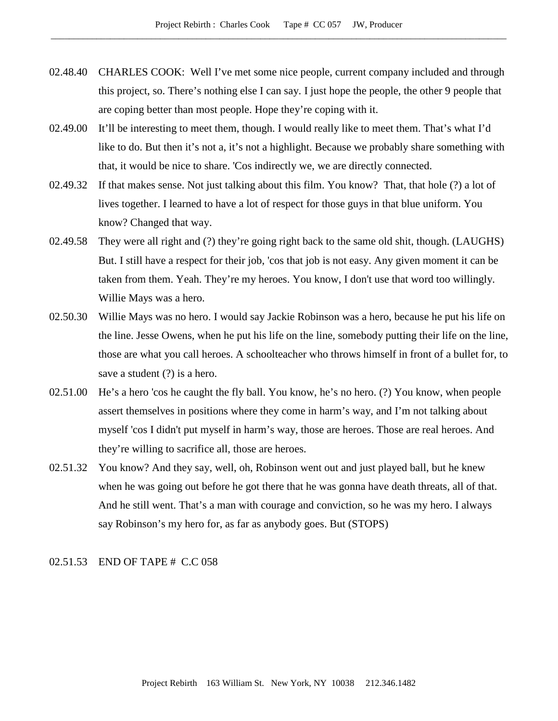- 02.48.40 CHARLES COOK: Well I've met some nice people, current company included and through this project, so. There's nothing else I can say. I just hope the people, the other 9 people that are coping better than most people. Hope they're coping with it.
- 02.49.00 It'll be interesting to meet them, though. I would really like to meet them. That's what I'd like to do. But then it's not a, it's not a highlight. Because we probably share something with that, it would be nice to share. 'Cos indirectly we, we are directly connected.
- 02.49.32 If that makes sense. Not just talking about this film. You know? That, that hole (?) a lot of lives together. I learned to have a lot of respect for those guys in that blue uniform. You know? Changed that way.
- 02.49.58 They were all right and (?) they're going right back to the same old shit, though. (LAUGHS) But. I still have a respect for their job, 'cos that job is not easy. Any given moment it can be taken from them. Yeah. They're my heroes. You know, I don't use that word too willingly. Willie Mays was a hero.
- 02.50.30 Willie Mays was no hero. I would say Jackie Robinson was a hero, because he put his life on the line. Jesse Owens, when he put his life on the line, somebody putting their life on the line, those are what you call heroes. A schoolteacher who throws himself in front of a bullet for, to save a student (?) is a hero.
- 02.51.00 He's a hero 'cos he caught the fly ball. You know, he's no hero. (?) You know, when people assert themselves in positions where they come in harm's way, and I'm not talking about myself 'cos I didn't put myself in harm's way, those are heroes. Those are real heroes. And they're willing to sacrifice all, those are heroes.
- 02.51.32 You know? And they say, well, oh, Robinson went out and just played ball, but he knew when he was going out before he got there that he was gonna have death threats, all of that. And he still went. That's a man with courage and conviction, so he was my hero. I always say Robinson's my hero for, as far as anybody goes. But (STOPS)

# 02.51.53 END OF TAPE # C.C 058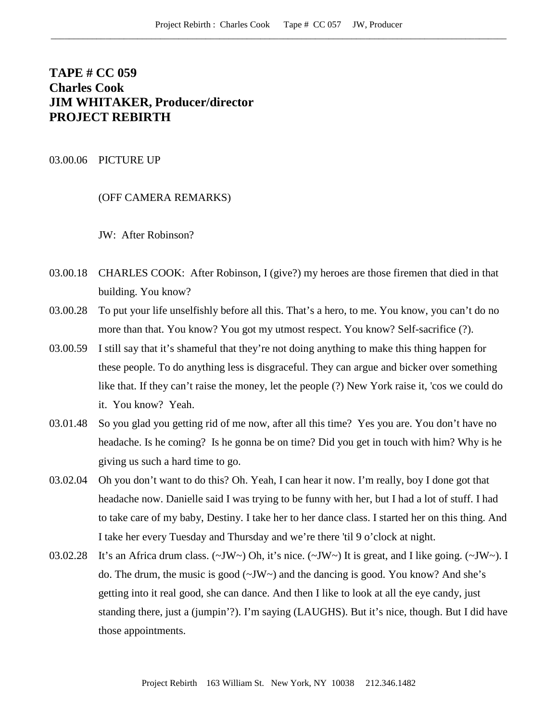# **TAPE # CC 059 Charles Cook JIM WHITAKER, Producer/director PROJECT REBIRTH**

### 03.00.06 PICTURE UP

(OFF CAMERA REMARKS)

JW: After Robinson?

- 03.00.18 CHARLES COOK: After Robinson, I (give?) my heroes are those firemen that died in that building. You know?
- 03.00.28 To put your life unselfishly before all this. That's a hero, to me. You know, you can't do no more than that. You know? You got my utmost respect. You know? Self-sacrifice (?).
- 03.00.59 I still say that it's shameful that they're not doing anything to make this thing happen for these people. To do anything less is disgraceful. They can argue and bicker over something like that. If they can't raise the money, let the people (?) New York raise it, 'cos we could do it. You know? Yeah.
- 03.01.48 So you glad you getting rid of me now, after all this time? Yes you are. You don't have no headache. Is he coming? Is he gonna be on time? Did you get in touch with him? Why is he giving us such a hard time to go.
- 03.02.04 Oh you don't want to do this? Oh. Yeah, I can hear it now. I'm really, boy I done got that headache now. Danielle said I was trying to be funny with her, but I had a lot of stuff. I had to take care of my baby, Destiny. I take her to her dance class. I started her on this thing. And I take her every Tuesday and Thursday and we're there 'til 9 o'clock at night.
- 03.02.28 It's an Africa drum class.  $(\sim JW \sim)$  Oh, it's nice.  $(\sim JW \sim)$  It is great, and I like going.  $(\sim JW \sim)$ . I do. The drum, the music is good  $(\sim JW)$  and the dancing is good. You know? And she's getting into it real good, she can dance. And then I like to look at all the eye candy, just standing there, just a (jumpin'?). I'm saying (LAUGHS). But it's nice, though. But I did have those appointments.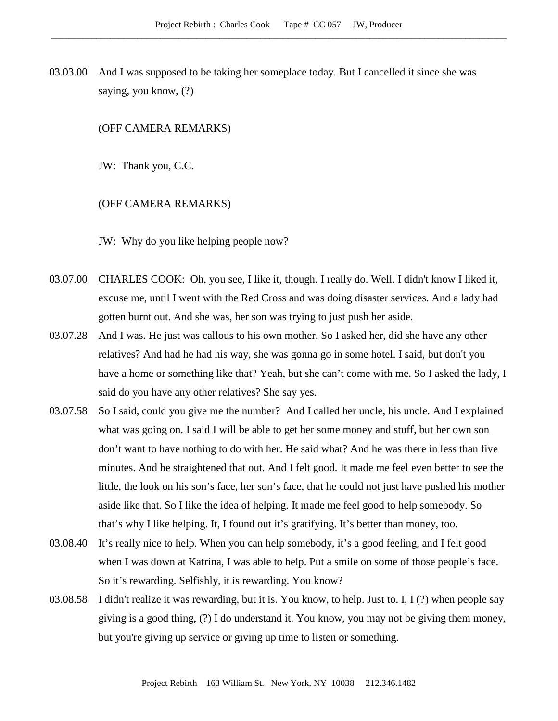03.03.00 And I was supposed to be taking her someplace today. But I cancelled it since she was saying, you know, (?)

#### (OFF CAMERA REMARKS)

JW: Thank you, C.C.

#### (OFF CAMERA REMARKS)

JW: Why do you like helping people now?

- 03.07.00 CHARLES COOK: Oh, you see, I like it, though. I really do. Well. I didn't know I liked it, excuse me, until I went with the Red Cross and was doing disaster services. And a lady had gotten burnt out. And she was, her son was trying to just push her aside.
- 03.07.28 And I was. He just was callous to his own mother. So I asked her, did she have any other relatives? And had he had his way, she was gonna go in some hotel. I said, but don't you have a home or something like that? Yeah, but she can't come with me. So I asked the lady, I said do you have any other relatives? She say yes.
- 03.07.58 So I said, could you give me the number? And I called her uncle, his uncle. And I explained what was going on. I said I will be able to get her some money and stuff, but her own son don't want to have nothing to do with her. He said what? And he was there in less than five minutes. And he straightened that out. And I felt good. It made me feel even better to see the little, the look on his son's face, her son's face, that he could not just have pushed his mother aside like that. So I like the idea of helping. It made me feel good to help somebody. So that's why I like helping. It, I found out it's gratifying. It's better than money, too.
- 03.08.40 It's really nice to help. When you can help somebody, it's a good feeling, and I felt good when I was down at Katrina, I was able to help. Put a smile on some of those people's face. So it's rewarding. Selfishly, it is rewarding. You know?
- 03.08.58 I didn't realize it was rewarding, but it is. You know, to help. Just to. I, I (?) when people say giving is a good thing, (?) I do understand it. You know, you may not be giving them money, but you're giving up service or giving up time to listen or something.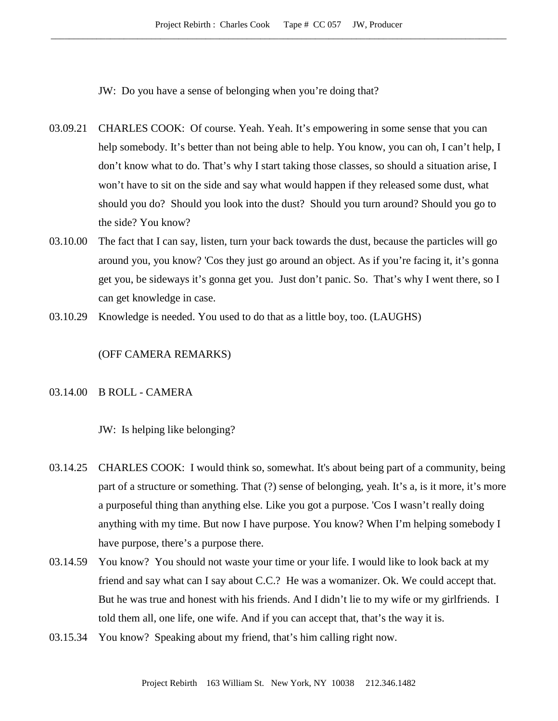JW: Do you have a sense of belonging when you're doing that?

- 03.09.21 CHARLES COOK: Of course. Yeah. Yeah. It's empowering in some sense that you can help somebody. It's better than not being able to help. You know, you can oh, I can't help, I don't know what to do. That's why I start taking those classes, so should a situation arise, I won't have to sit on the side and say what would happen if they released some dust, what should you do? Should you look into the dust? Should you turn around? Should you go to the side? You know?
- 03.10.00 The fact that I can say, listen, turn your back towards the dust, because the particles will go around you, you know? 'Cos they just go around an object. As if you're facing it, it's gonna get you, be sideways it's gonna get you. Just don't panic. So. That's why I went there, so I can get knowledge in case.
- 03.10.29 Knowledge is needed. You used to do that as a little boy, too. (LAUGHS)

#### (OFF CAMERA REMARKS)

# 03.14.00 B ROLL - CAMERA

JW: Is helping like belonging?

- 03.14.25 CHARLES COOK: I would think so, somewhat. It's about being part of a community, being part of a structure or something. That (?) sense of belonging, yeah. It's a, is it more, it's more a purposeful thing than anything else. Like you got a purpose. 'Cos I wasn't really doing anything with my time. But now I have purpose. You know? When I'm helping somebody I have purpose, there's a purpose there.
- 03.14.59 You know? You should not waste your time or your life. I would like to look back at my friend and say what can I say about C.C.? He was a womanizer. Ok. We could accept that. But he was true and honest with his friends. And I didn't lie to my wife or my girlfriends. I told them all, one life, one wife. And if you can accept that, that's the way it is.
- 03.15.34 You know? Speaking about my friend, that's him calling right now.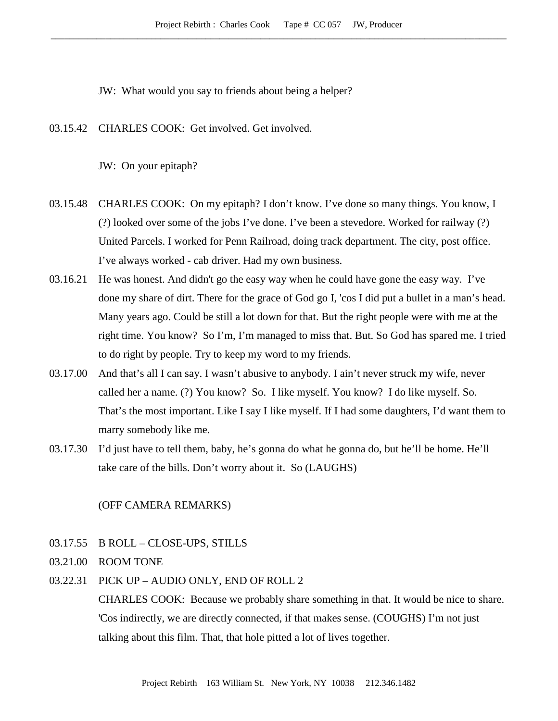JW: What would you say to friends about being a helper?

03.15.42 CHARLES COOK: Get involved. Get involved.

JW: On your epitaph?

- 03.15.48 CHARLES COOK: On my epitaph? I don't know. I've done so many things. You know, I (?) looked over some of the jobs I've done. I've been a stevedore. Worked for railway (?) United Parcels. I worked for Penn Railroad, doing track department. The city, post office. I've always worked - cab driver. Had my own business.
- 03.16.21 He was honest. And didn't go the easy way when he could have gone the easy way. I've done my share of dirt. There for the grace of God go I, 'cos I did put a bullet in a man's head. Many years ago. Could be still a lot down for that. But the right people were with me at the right time. You know? So I'm, I'm managed to miss that. But. So God has spared me. I tried to do right by people. Try to keep my word to my friends.
- 03.17.00 And that's all I can say. I wasn't abusive to anybody. I ain't never struck my wife, never called her a name. (?) You know? So. I like myself. You know? I do like myself. So. That's the most important. Like I say I like myself. If I had some daughters, I'd want them to marry somebody like me.
- 03.17.30 I'd just have to tell them, baby, he's gonna do what he gonna do, but he'll be home. He'll take care of the bills. Don't worry about it. So (LAUGHS)

# (OFF CAMERA REMARKS)

- 03.17.55 B ROLL CLOSE-UPS, STILLS
- 03.21.00 ROOM TONE
- 03.22.31 PICK UP AUDIO ONLY, END OF ROLL 2

CHARLES COOK: Because we probably share something in that. It would be nice to share. 'Cos indirectly, we are directly connected, if that makes sense. (COUGHS) I'm not just talking about this film. That, that hole pitted a lot of lives together.